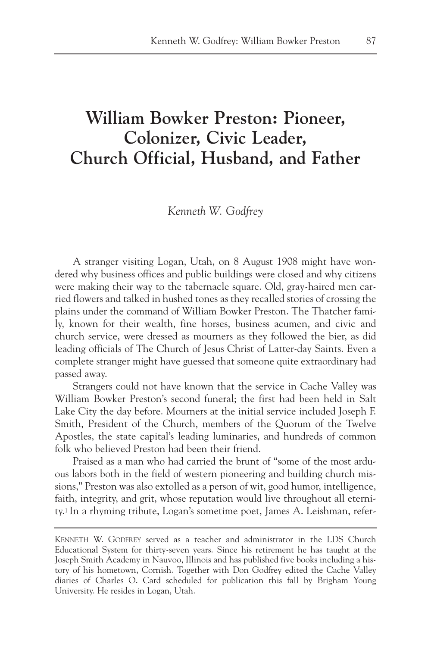# **William Bowker Preston: Pioneer, Colonizer, Civic Leader, Church Official, Husband, and Father**

*Kenneth W. Godfrey*

A stranger visiting Logan, Utah, on 8 August 1908 might have wondered why business offices and public buildings were closed and why citizens were making their way to the tabernacle square. Old, gray-haired men carried flowers and talked in hushed tones as they recalled stories of crossing the plains under the command of William Bowker Preston. The Thatcher family, known for their wealth, fine horses, business acumen, and civic and church service, were dressed as mourners as they followed the bier, as did leading officials of The Church of Jesus Christ of Latter-day Saints. Even a complete stranger might have guessed that someone quite extraordinary had passed away.

Strangers could not have known that the service in Cache Valley was William Bowker Preston's second funeral; the first had been held in Salt Lake City the day before. Mourners at the initial service included Joseph F. Smith, President of the Church, members of the Quorum of the Twelve Apostles, the state capital's leading luminaries, and hundreds of common folk who believed Preston had been their friend.

Praised as a man who had carried the brunt of "some of the most arduous labors both in the field of western pioneering and building church missions," Preston was also extolled as a person of wit, good humor, intelligence, faith, integrity, and grit, whose reputation would live throughout all eternity.1 In a rhyming tribute, Logan's sometime poet, James A. Leishman, refer-

KENNETH W. GODFREY served as a teacher and administrator in the LDS Church Educational System for thirty-seven years. Since his retirement he has taught at the Joseph Smith Academy in Nauvoo, Illinois and has published five books including a history of his hometown, Cornish. Together with Don Godfrey edited the Cache Valley diaries of Charles O. Card scheduled for publication this fall by Brigham Young University. He resides in Logan, Utah.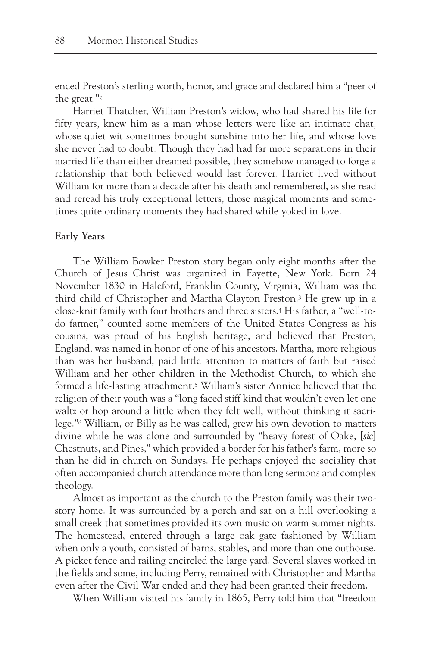enced Preston's sterling worth, honor, and grace and declared him a "peer of the great."2

Harriet Thatcher, William Preston's widow, who had shared his life for fifty years, knew him as a man whose letters were like an intimate chat, whose quiet wit sometimes brought sunshine into her life, and whose love she never had to doubt. Though they had had far more separations in their married life than either dreamed possible, they somehow managed to forge a relationship that both believed would last forever. Harriet lived without William for more than a decade after his death and remembered, as she read and reread his truly exceptional letters, those magical moments and sometimes quite ordinary moments they had shared while yoked in love.

## **Early Years**

The William Bowker Preston story began only eight months after the Church of Jesus Christ was organized in Fayette, New York. Born 24 November 1830 in Haleford, Franklin County, Virginia, William was the third child of Christopher and Martha Clayton Preston.3 He grew up in a close-knit family with four brothers and three sisters.4 His father, a "well-todo farmer," counted some members of the United States Congress as his cousins, was proud of his English heritage, and believed that Preston, England, was named in honor of one of his ancestors. Martha, more religious than was her husband, paid little attention to matters of faith but raised William and her other children in the Methodist Church, to which she formed a life-lasting attachment.<sup>5</sup> William's sister Annice believed that the religion of their youth was a "long faced stiff kind that wouldn't even let one waltz or hop around a little when they felt well, without thinking it sacrilege."6 William, or Billy as he was called, grew his own devotion to matters divine while he was alone and surrounded by "heavy forest of Oake, [*sic*] Chestnuts, and Pines," which provided a border for his father's farm, more so than he did in church on Sundays. He perhaps enjoyed the sociality that often accompanied church attendance more than long sermons and complex theology.

Almost as important as the church to the Preston family was their twostory home. It was surrounded by a porch and sat on a hill overlooking a small creek that sometimes provided its own music on warm summer nights. The homestead, entered through a large oak gate fashioned by William when only a youth, consisted of barns, stables, and more than one outhouse. A picket fence and railing encircled the large yard. Several slaves worked in the fields and some, including Perry, remained with Christopher and Martha even after the Civil War ended and they had been granted their freedom.

When William visited his family in 1865, Perry told him that "freedom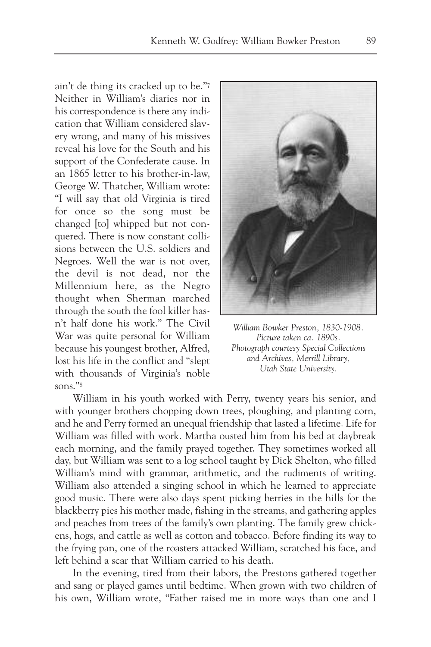ain't de thing its cracked up to be."7 Neither in William's diaries nor in his correspondence is there any indication that William considered slavery wrong, and many of his missives reveal his love for the South and his support of the Confederate cause. In an 1865 letter to his brother-in-law, George W. Thatcher, William wrote: "I will say that old Virginia is tired for once so the song must be changed [to] whipped but not conquered. There is now constant collisions between the U.S. soldiers and Negroes. Well the war is not over, the devil is not dead, nor the Millennium here, as the Negro thought when Sherman marched through the south the fool killer hasn't half done his work." The Civil War was quite personal for William because his youngest brother, Alfred, lost his life in the conflict and "slept with thousands of Virginia's noble sons."8



*William Bowker Preston, 1830-1908. Picture taken ca. 1890s. Photograph courtesy Special Collections and Archives, Merrill Library, Utah State University.*

William in his youth worked with Perry, twenty years his senior, and with younger brothers chopping down trees, ploughing, and planting corn, and he and Perry formed an unequal friendship that lasted a lifetime. Life for William was filled with work. Martha ousted him from his bed at daybreak each morning, and the family prayed together. They sometimes worked all day, but William was sent to a log school taught by Dick Shelton, who filled William's mind with grammar, arithmetic, and the rudiments of writing. William also attended a singing school in which he learned to appreciate good music. There were also days spent picking berries in the hills for the blackberry pies his mother made, fishing in the streams, and gathering apples and peaches from trees of the family's own planting. The family grew chickens, hogs, and cattle as well as cotton and tobacco. Before finding its way to the frying pan, one of the roasters attacked William, scratched his face, and left behind a scar that William carried to his death.

In the evening, tired from their labors, the Prestons gathered together and sang or played games until bedtime. When grown with two children of his own, William wrote, "Father raised me in more ways than one and I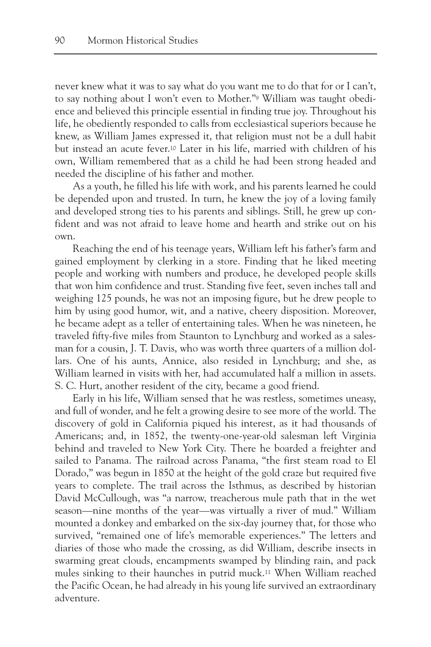never knew what it was to say what do you want me to do that for or I can't, to say nothing about I won't even to Mother."9 William was taught obedience and believed this principle essential in finding true joy. Throughout his life, he obediently responded to calls from ecclesiastical superiors because he knew, as William James expressed it, that religion must not be a dull habit but instead an acute fever.10 Later in his life, married with children of his own, William remembered that as a child he had been strong headed and needed the discipline of his father and mother.

As a youth, he filled his life with work, and his parents learned he could be depended upon and trusted. In turn, he knew the joy of a loving family and developed strong ties to his parents and siblings. Still, he grew up confident and was not afraid to leave home and hearth and strike out on his own.

Reaching the end of his teenage years, William left his father's farm and gained employment by clerking in a store. Finding that he liked meeting people and working with numbers and produce, he developed people skills that won him confidence and trust. Standing five feet, seven inches tall and weighing 125 pounds, he was not an imposing figure, but he drew people to him by using good humor, wit, and a native, cheery disposition. Moreover, he became adept as a teller of entertaining tales. When he was nineteen, he traveled fifty-five miles from Staunton to Lynchburg and worked as a salesman for a cousin, J. T. Davis, who was worth three quarters of a million dollars. One of his aunts, Annice, also resided in Lynchburg; and she, as William learned in visits with her, had accumulated half a million in assets. S. C. Hurt, another resident of the city, became a good friend.

Early in his life, William sensed that he was restless, sometimes uneasy, and full of wonder, and he felt a growing desire to see more of the world. The discovery of gold in California piqued his interest, as it had thousands of Americans; and, in 1852, the twenty-one-year-old salesman left Virginia behind and traveled to New York City. There he boarded a freighter and sailed to Panama. The railroad across Panama, "the first steam road to El Dorado," was begun in 1850 at the height of the gold craze but required five years to complete. The trail across the Isthmus, as described by historian David McCullough, was "a narrow, treacherous mule path that in the wet season—nine months of the year—was virtually a river of mud." William mounted a donkey and embarked on the six-day journey that, for those who survived, "remained one of life's memorable experiences." The letters and diaries of those who made the crossing, as did William, describe insects in swarming great clouds, encampments swamped by blinding rain, and pack mules sinking to their haunches in putrid muck.11 When William reached the Pacific Ocean, he had already in his young life survived an extraordinary adventure.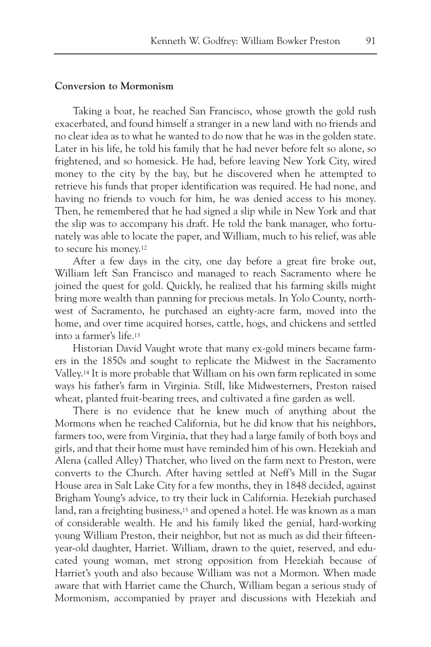# **Conversion to Mormonism**

Taking a boat, he reached San Francisco, whose growth the gold rush exacerbated, and found himself a stranger in a new land with no friends and no clear idea as to what he wanted to do now that he was in the golden state. Later in his life, he told his family that he had never before felt so alone, so frightened, and so homesick. He had, before leaving New York City, wired money to the city by the bay, but he discovered when he attempted to retrieve his funds that proper identification was required. He had none, and having no friends to vouch for him, he was denied access to his money. Then, he remembered that he had signed a slip while in New York and that the slip was to accompany his draft. He told the bank manager, who fortunately was able to locate the paper, and William, much to his relief, was able to secure his money.12

After a few days in the city, one day before a great fire broke out, William left San Francisco and managed to reach Sacramento where he joined the quest for gold. Quickly, he realized that his farming skills might bring more wealth than panning for precious metals. In Yolo County, northwest of Sacramento, he purchased an eighty-acre farm, moved into the home, and over time acquired horses, cattle, hogs, and chickens and settled into a farmer's life.13

Historian David Vaught wrote that many ex-gold miners became farmers in the 1850s and sought to replicate the Midwest in the Sacramento Valley.14 It is more probable that William on his own farm replicated in some ways his father's farm in Virginia. Still, like Midwesterners, Preston raised wheat, planted fruit-bearing trees, and cultivated a fine garden as well.

There is no evidence that he knew much of anything about the Mormons when he reached California, but he did know that his neighbors, farmers too, were from Virginia, that they had a large family of both boys and girls, and that their home must have reminded him of his own. Hezekiah and Alena (called Alley) Thatcher, who lived on the farm next to Preston, were converts to the Church. After having settled at Neff's Mill in the Sugar House area in Salt Lake City for a few months, they in 1848 decided, against Brigham Young's advice, to try their luck in California. Hezekiah purchased land, ran a freighting business,15 and opened a hotel. He was known as a man of considerable wealth. He and his family liked the genial, hard-working young William Preston, their neighbor, but not as much as did their fifteenyear-old daughter, Harriet. William, drawn to the quiet, reserved, and educated young woman, met strong opposition from Hezekiah because of Harriet's youth and also because William was not a Mormon. When made aware that with Harriet came the Church, William began a serious study of Mormonism, accompanied by prayer and discussions with Hezekiah and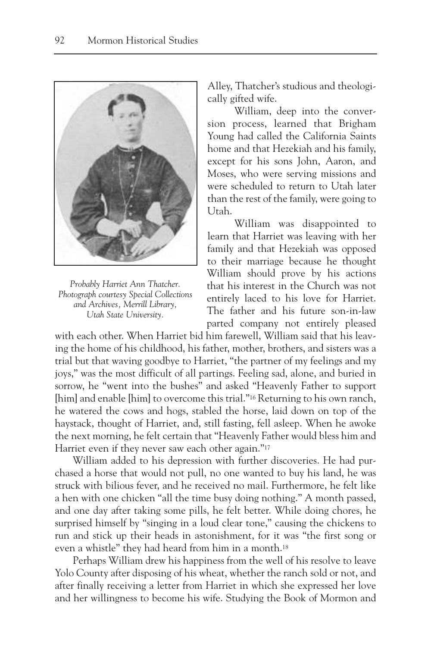

*Probably Harriet Ann Thatcher. Photograph courtesy Special Collections and Archives, Merrill Library, Utah State University.*

Alley, Thatcher's studious and theologically gifted wife.

William, deep into the conversion process, learned that Brigham Young had called the California Saints home and that Hezekiah and his family, except for his sons John, Aaron, and Moses, who were serving missions and were scheduled to return to Utah later than the rest of the family, were going to Utah.

William was disappointed to learn that Harriet was leaving with her family and that Hezekiah was opposed to their marriage because he thought William should prove by his actions that his interest in the Church was not entirely laced to his love for Harriet. The father and his future son-in-law parted company not entirely pleased

with each other. When Harriet bid him farewell, William said that his leaving the home of his childhood, his father, mother, brothers, and sisters was a trial but that waving goodbye to Harriet, "the partner of my feelings and my joys," was the most difficult of all partings. Feeling sad, alone, and buried in sorrow, he "went into the bushes" and asked "Heavenly Father to support [him] and enable [him] to overcome this trial."<sup>16</sup> Returning to his own ranch, he watered the cows and hogs, stabled the horse, laid down on top of the haystack, thought of Harriet, and, still fasting, fell asleep. When he awoke the next morning, he felt certain that "Heavenly Father would bless him and Harriet even if they never saw each other again."<sup>17</sup>

William added to his depression with further discoveries. He had purchased a horse that would not pull, no one wanted to buy his land, he was struck with bilious fever, and he received no mail. Furthermore, he felt like a hen with one chicken "all the time busy doing nothing." A month passed, and one day after taking some pills, he felt better. While doing chores, he surprised himself by "singing in a loud clear tone," causing the chickens to run and stick up their heads in astonishment, for it was "the first song or even a whistle" they had heard from him in a month.18

Perhaps William drew his happiness from the well of his resolve to leave Yolo County after disposing of his wheat, whether the ranch sold or not, and after finally receiving a letter from Harriet in which she expressed her love and her willingness to become his wife. Studying the Book of Mormon and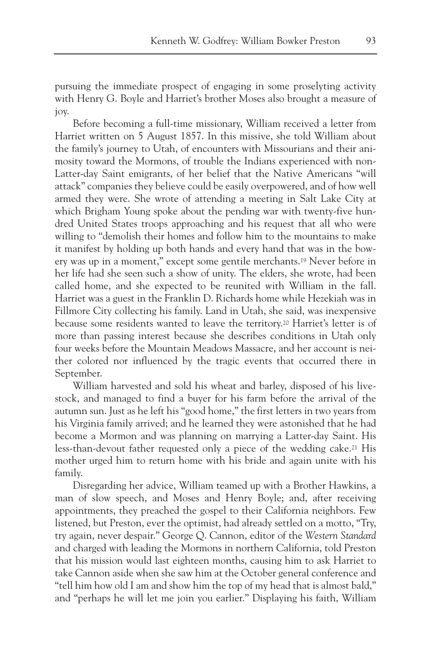pursuing the immediate prospect of engaging in some proselyting activity with Henry G. Boyle and Harriet's brother Moses also brought a measure of joy.

Before becoming a full-time missionary, William received a letter from Harriet written on 5 August 1857. In this missive, she told William about the family's journey to Utah, of encounters with Missourians and their animosity toward the Mormons, of trouble the Indians experienced with non-Latter-day Saint emigrants, of her belief that the Native Americans "will attack" companies they believe could be easily overpowered, and of how well armed they were. She wrote of attending a meeting in Salt Lake City at which Brigham Young spoke about the pending war with twenty-five hundred United States troops approaching and his request that all who were willing to "demolish their homes and follow him to the mountains to make it manifest by holding up both hands and every hand that was in the bowery was up in a moment," except some gentile merchants.19 Never before in her life had she seen such a show of unity. The elders, she wrote, had been called home, and she expected to be reunited with William in the fall. Harriet was a guest in the Franklin D. Richards home while Hezekiah was in Fillmore City collecting his family. Land in Utah, she said, was inexpensive because some residents wanted to leave the territory.20 Harriet's letter is of more than passing interest because she describes conditions in Utah only four weeks before the Mountain Meadows Massacre, and her account is neither colored nor influenced by the tragic events that occurred there in September.

William harvested and sold his wheat and barley, disposed of his livestock, and managed to find a buyer for his farm before the arrival of the autumn sun. Just as he left his "good home," the first letters in two years from his Virginia family arrived; and he learned they were astonished that he had become a Mormon and was planning on marrying a Latter-day Saint. His less-than-devout father requested only a piece of the wedding cake.21 His mother urged him to return home with his bride and again unite with his family.

Disregarding her advice, William teamed up with a Brother Hawkins, a man of slow speech, and Moses and Henry Boyle; and, after receiving appointments, they preached the gospel to their California neighbors. Few listened, but Preston, ever the optimist, had already settled on a motto, "Try, try again, never despair." George Q. Cannon, editor of the *Western Standard* and charged with leading the Mormons in northern California, told Preston that his mission would last eighteen months, causing him to ask Harriet to take Cannon aside when she saw him at the October general conference and "tell him how old I am and show him the top of my head that is almost bald," and "perhaps he will let me join you earlier." Displaying his faith, William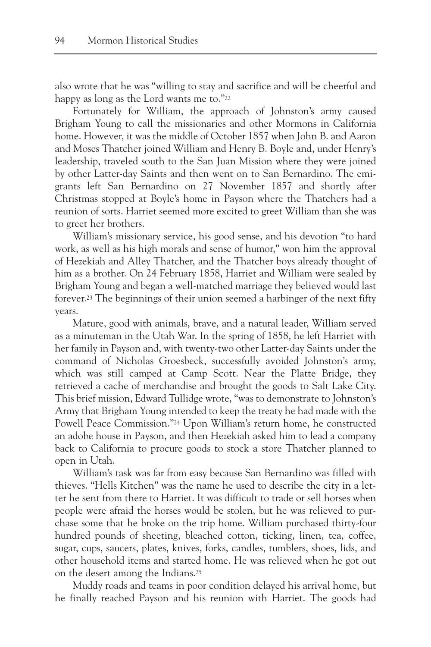also wrote that he was "willing to stay and sacrifice and will be cheerful and happy as long as the Lord wants me to."22

Fortunately for William, the approach of Johnston's army caused Brigham Young to call the missionaries and other Mormons in California home. However, it was the middle of October 1857 when John B. and Aaron and Moses Thatcher joined William and Henry B. Boyle and, under Henry's leadership, traveled south to the San Juan Mission where they were joined by other Latter-day Saints and then went on to San Bernardino. The emigrants left San Bernardino on 27 November 1857 and shortly after Christmas stopped at Boyle's home in Payson where the Thatchers had a reunion of sorts. Harriet seemed more excited to greet William than she was to greet her brothers.

William's missionary service, his good sense, and his devotion "to hard work, as well as his high morals and sense of humor," won him the approval of Hezekiah and Alley Thatcher, and the Thatcher boys already thought of him as a brother. On 24 February 1858, Harriet and William were sealed by Brigham Young and began a well-matched marriage they believed would last forever.23 The beginnings of their union seemed a harbinger of the next fifty years.

Mature, good with animals, brave, and a natural leader, William served as a minuteman in the Utah War. In the spring of 1858, he left Harriet with her family in Payson and, with twenty-two other Latter-day Saints under the command of Nicholas Groesbeck, successfully avoided Johnston's army, which was still camped at Camp Scott. Near the Platte Bridge, they retrieved a cache of merchandise and brought the goods to Salt Lake City. This brief mission, Edward Tullidge wrote, "was to demonstrate to Johnston's Army that Brigham Young intended to keep the treaty he had made with the Powell Peace Commission."24 Upon William's return home, he constructed an adobe house in Payson, and then Hezekiah asked him to lead a company back to California to procure goods to stock a store Thatcher planned to open in Utah.

William's task was far from easy because San Bernardino was filled with thieves. "Hells Kitchen" was the name he used to describe the city in a letter he sent from there to Harriet. It was difficult to trade or sell horses when people were afraid the horses would be stolen, but he was relieved to purchase some that he broke on the trip home. William purchased thirty-four hundred pounds of sheeting, bleached cotton, ticking, linen, tea, coffee, sugar, cups, saucers, plates, knives, forks, candles, tumblers, shoes, lids, and other household items and started home. He was relieved when he got out on the desert among the Indians.25

Muddy roads and teams in poor condition delayed his arrival home, but he finally reached Payson and his reunion with Harriet. The goods had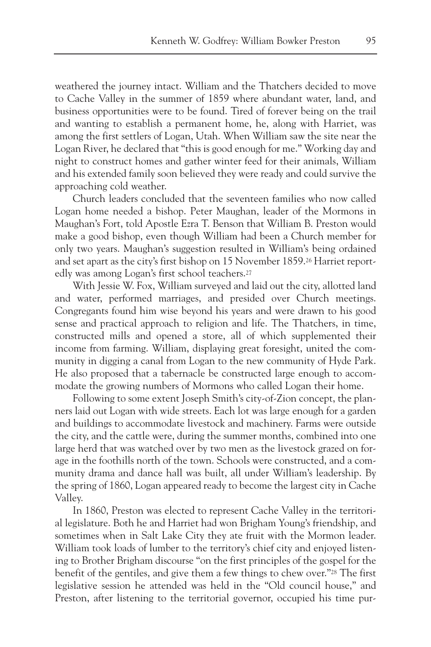weathered the journey intact. William and the Thatchers decided to move to Cache Valley in the summer of 1859 where abundant water, land, and business opportunities were to be found. Tired of forever being on the trail and wanting to establish a permanent home, he, along with Harriet, was among the first settlers of Logan, Utah. When William saw the site near the Logan River, he declared that "this is good enough for me." Working day and night to construct homes and gather winter feed for their animals, William and his extended family soon believed they were ready and could survive the approaching cold weather.

Church leaders concluded that the seventeen families who now called Logan home needed a bishop. Peter Maughan, leader of the Mormons in Maughan's Fort, told Apostle Ezra T. Benson that William B. Preston would make a good bishop, even though William had been a Church member for only two years. Maughan's suggestion resulted in William's being ordained and set apart as the city's first bishop on 15 November 1859.26 Harriet reportedly was among Logan's first school teachers.27

With Jessie W. Fox, William surveyed and laid out the city, allotted land and water, performed marriages, and presided over Church meetings. Congregants found him wise beyond his years and were drawn to his good sense and practical approach to religion and life. The Thatchers, in time, constructed mills and opened a store, all of which supplemented their income from farming. William, displaying great foresight, united the community in digging a canal from Logan to the new community of Hyde Park. He also proposed that a tabernacle be constructed large enough to accommodate the growing numbers of Mormons who called Logan their home.

Following to some extent Joseph Smith's city-of-Zion concept, the planners laid out Logan with wide streets. Each lot was large enough for a garden and buildings to accommodate livestock and machinery. Farms were outside the city, and the cattle were, during the summer months, combined into one large herd that was watched over by two men as the livestock grazed on forage in the foothills north of the town. Schools were constructed, and a community drama and dance hall was built, all under William's leadership. By the spring of 1860, Logan appeared ready to become the largest city in Cache Valley.

In 1860, Preston was elected to represent Cache Valley in the territorial legislature. Both he and Harriet had won Brigham Young's friendship, and sometimes when in Salt Lake City they ate fruit with the Mormon leader. William took loads of lumber to the territory's chief city and enjoyed listening to Brother Brigham discourse "on the first principles of the gospel for the benefit of the gentiles, and give them a few things to chew over."28 The first legislative session he attended was held in the "Old council house," and Preston, after listening to the territorial governor, occupied his time pur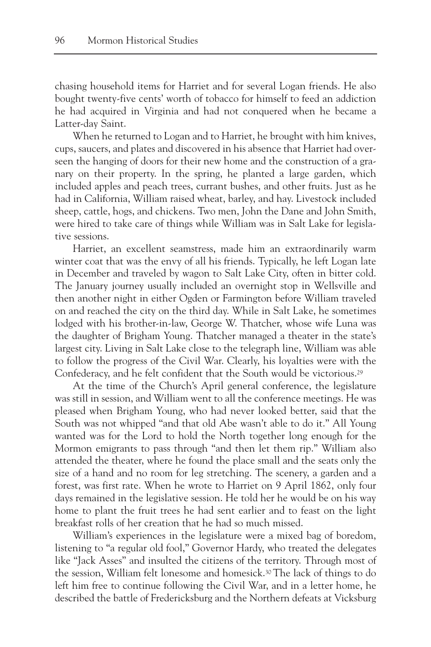chasing household items for Harriet and for several Logan friends. He also bought twenty-five cents' worth of tobacco for himself to feed an addiction he had acquired in Virginia and had not conquered when he became a Latter-day Saint.

When he returned to Logan and to Harriet, he brought with him knives, cups, saucers, and plates and discovered in his absence that Harriet had overseen the hanging of doors for their new home and the construction of a granary on their property. In the spring, he planted a large garden, which included apples and peach trees, currant bushes, and other fruits. Just as he had in California, William raised wheat, barley, and hay. Livestock included sheep, cattle, hogs, and chickens. Two men, John the Dane and John Smith, were hired to take care of things while William was in Salt Lake for legislative sessions.

Harriet, an excellent seamstress, made him an extraordinarily warm winter coat that was the envy of all his friends. Typically, he left Logan late in December and traveled by wagon to Salt Lake City, often in bitter cold. The January journey usually included an overnight stop in Wellsville and then another night in either Ogden or Farmington before William traveled on and reached the city on the third day. While in Salt Lake, he sometimes lodged with his brother-in-law, George W. Thatcher, whose wife Luna was the daughter of Brigham Young. Thatcher managed a theater in the state's largest city. Living in Salt Lake close to the telegraph line, William was able to follow the progress of the Civil War. Clearly, his loyalties were with the Confederacy, and he felt confident that the South would be victorious.29

At the time of the Church's April general conference, the legislature was still in session, and William went to all the conference meetings. He was pleased when Brigham Young, who had never looked better, said that the South was not whipped "and that old Abe wasn't able to do it." All Young wanted was for the Lord to hold the North together long enough for the Mormon emigrants to pass through "and then let them rip." William also attended the theater, where he found the place small and the seats only the size of a hand and no room for leg stretching. The scenery, a garden and a forest, was first rate. When he wrote to Harriet on 9 April 1862, only four days remained in the legislative session. He told her he would be on his way home to plant the fruit trees he had sent earlier and to feast on the light breakfast rolls of her creation that he had so much missed.

William's experiences in the legislature were a mixed bag of boredom, listening to "a regular old fool," Governor Hardy, who treated the delegates like "Jack Asses" and insulted the citizens of the territory. Through most of the session, William felt lonesome and homesick.30The lack of things to do left him free to continue following the Civil War, and in a letter home, he described the battle of Fredericksburg and the Northern defeats at Vicksburg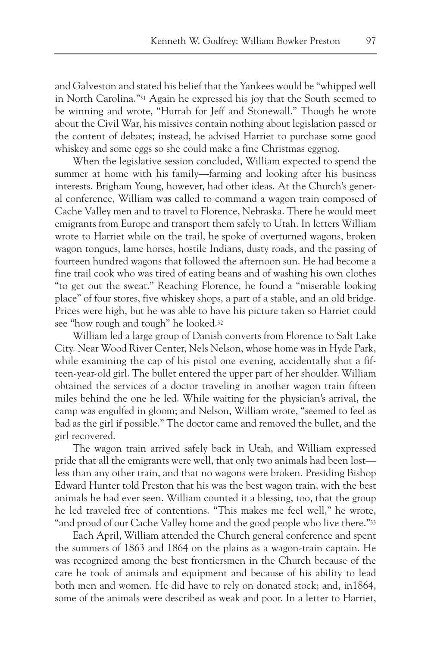and Galveston and stated his belief that the Yankees would be "whipped well in North Carolina."31 Again he expressed his joy that the South seemed to be winning and wrote, "Hurrah for Jeff and Stonewall." Though he wrote about the Civil War, his missives contain nothing about legislation passed or the content of debates; instead, he advised Harriet to purchase some good whiskey and some eggs so she could make a fine Christmas eggnog.

When the legislative session concluded, William expected to spend the summer at home with his family—farming and looking after his business interests. Brigham Young, however, had other ideas. At the Church's general conference, William was called to command a wagon train composed of Cache Valley men and to travel to Florence, Nebraska. There he would meet emigrants from Europe and transport them safely to Utah. In letters William wrote to Harriet while on the trail, he spoke of overturned wagons, broken wagon tongues, lame horses, hostile Indians, dusty roads, and the passing of fourteen hundred wagons that followed the afternoon sun. He had become a fine trail cook who was tired of eating beans and of washing his own clothes "to get out the sweat." Reaching Florence, he found a "miserable looking place" of four stores, five whiskey shops, a part of a stable, and an old bridge. Prices were high, but he was able to have his picture taken so Harriet could see "how rough and tough" he looked.32

William led a large group of Danish converts from Florence to Salt Lake City. Near Wood River Center, Nels Nelson, whose home was in Hyde Park, while examining the cap of his pistol one evening, accidentally shot a fifteen-year-old girl. The bullet entered the upper part of her shoulder. William obtained the services of a doctor traveling in another wagon train fifteen miles behind the one he led. While waiting for the physician's arrival, the camp was engulfed in gloom; and Nelson, William wrote, "seemed to feel as bad as the girl if possible." The doctor came and removed the bullet, and the girl recovered.

The wagon train arrived safely back in Utah, and William expressed pride that all the emigrants were well, that only two animals had been lost less than any other train, and that no wagons were broken. Presiding Bishop Edward Hunter told Preston that his was the best wagon train, with the best animals he had ever seen. William counted it a blessing, too, that the group he led traveled free of contentions. "This makes me feel well," he wrote, "and proud of our Cache Valley home and the good people who live there."33

Each April, William attended the Church general conference and spent the summers of 1863 and 1864 on the plains as a wagon-train captain. He was recognized among the best frontiersmen in the Church because of the care he took of animals and equipment and because of his ability to lead both men and women. He did have to rely on donated stock; and, in1864, some of the animals were described as weak and poor. In a letter to Harriet,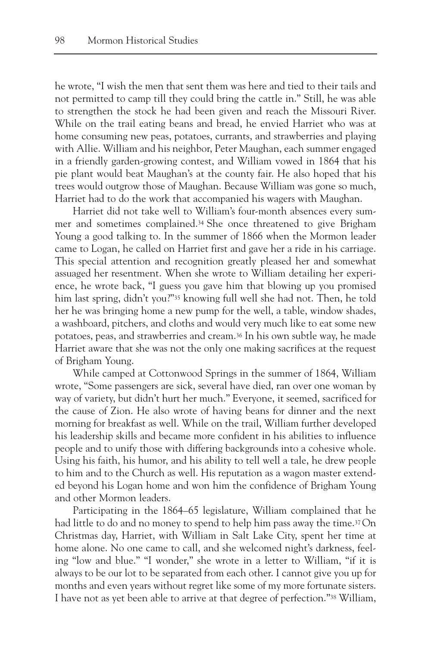he wrote, "I wish the men that sent them was here and tied to their tails and not permitted to camp till they could bring the cattle in." Still, he was able to strengthen the stock he had been given and reach the Missouri River. While on the trail eating beans and bread, he envied Harriet who was at home consuming new peas, potatoes, currants, and strawberries and playing with Allie. William and his neighbor, Peter Maughan, each summer engaged in a friendly garden-growing contest, and William vowed in 1864 that his pie plant would beat Maughan's at the county fair. He also hoped that his trees would outgrow those of Maughan. Because William was gone so much, Harriet had to do the work that accompanied his wagers with Maughan.

Harriet did not take well to William's four-month absences every summer and sometimes complained.34 She once threatened to give Brigham Young a good talking to. In the summer of 1866 when the Mormon leader came to Logan, he called on Harriet first and gave her a ride in his carriage. This special attention and recognition greatly pleased her and somewhat assuaged her resentment. When she wrote to William detailing her experience, he wrote back, "I guess you gave him that blowing up you promised him last spring, didn't you?"35 knowing full well she had not. Then, he told her he was bringing home a new pump for the well, a table, window shades, a washboard, pitchers, and cloths and would very much like to eat some new potatoes, peas, and strawberries and cream.36 In his own subtle way, he made Harriet aware that she was not the only one making sacrifices at the request of Brigham Young.

While camped at Cottonwood Springs in the summer of 1864, William wrote, "Some passengers are sick, several have died, ran over one woman by way of variety, but didn't hurt her much." Everyone, it seemed, sacrificed for the cause of Zion. He also wrote of having beans for dinner and the next morning for breakfast as well. While on the trail, William further developed his leadership skills and became more confident in his abilities to influence people and to unify those with differing backgrounds into a cohesive whole. Using his faith, his humor, and his ability to tell well a tale, he drew people to him and to the Church as well. His reputation as a wagon master extended beyond his Logan home and won him the confidence of Brigham Young and other Mormon leaders.

Participating in the 1864–65 legislature, William complained that he had little to do and no money to spend to help him pass away the time.<sup>37</sup>On Christmas day, Harriet, with William in Salt Lake City, spent her time at home alone. No one came to call, and she welcomed night's darkness, feeling "low and blue." "I wonder," she wrote in a letter to William, "if it is always to be our lot to be separated from each other. I cannot give you up for months and even years without regret like some of my more fortunate sisters. I have not as yet been able to arrive at that degree of perfection."38 William,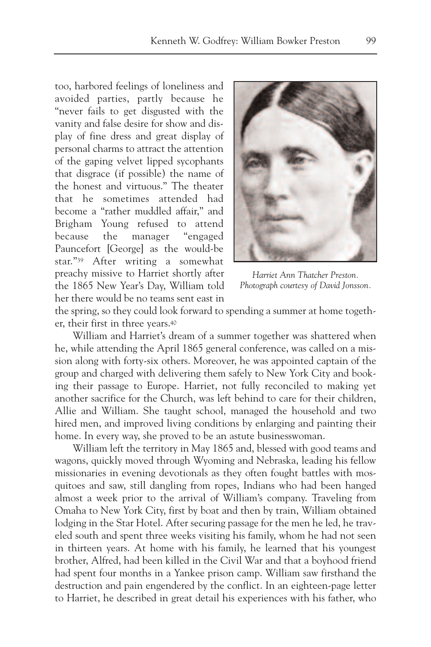too, harbored feelings of loneliness and avoided parties, partly because he "never fails to get disgusted with the vanity and false desire for show and display of fine dress and great display of personal charms to attract the attention of the gaping velvet lipped sycophants that disgrace (if possible) the name of the honest and virtuous." The theater that he sometimes attended had become a "rather muddled affair," and Brigham Young refused to attend because the manager "engaged Pauncefort [George] as the would-be star."39 After writing a somewhat preachy missive to Harriet shortly after the 1865 New Year's Day, William told her there would be no teams sent east in



*Harriet Ann Thatcher Preston. Photograph courtesy of David Jonsson.*

the spring, so they could look forward to spending a summer at home together, their first in three years.40

William and Harriet's dream of a summer together was shattered when he, while attending the April 1865 general conference, was called on a mission along with forty-six others. Moreover, he was appointed captain of the group and charged with delivering them safely to New York City and booking their passage to Europe. Harriet, not fully reconciled to making yet another sacrifice for the Church, was left behind to care for their children, Allie and William. She taught school, managed the household and two hired men, and improved living conditions by enlarging and painting their home. In every way, she proved to be an astute businesswoman.

William left the territory in May 1865 and, blessed with good teams and wagons, quickly moved through Wyoming and Nebraska, leading his fellow missionaries in evening devotionals as they often fought battles with mosquitoes and saw, still dangling from ropes, Indians who had been hanged almost a week prior to the arrival of William's company. Traveling from Omaha to New York City, first by boat and then by train, William obtained lodging in the Star Hotel. After securing passage for the men he led, he traveled south and spent three weeks visiting his family, whom he had not seen in thirteen years. At home with his family, he learned that his youngest brother, Alfred, had been killed in the Civil War and that a boyhood friend had spent four months in a Yankee prison camp. William saw firsthand the destruction and pain engendered by the conflict. In an eighteen-page letter to Harriet, he described in great detail his experiences with his father, who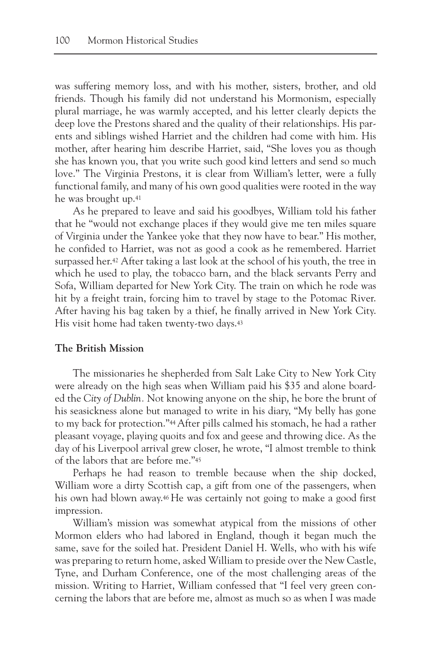was suffering memory loss, and with his mother, sisters, brother, and old friends. Though his family did not understand his Mormonism, especially plural marriage, he was warmly accepted, and his letter clearly depicts the deep love the Prestons shared and the quality of their relationships. His parents and siblings wished Harriet and the children had come with him. His mother, after hearing him describe Harriet, said, "She loves you as though she has known you, that you write such good kind letters and send so much love." The Virginia Prestons, it is clear from William's letter, were a fully functional family, and many of his own good qualities were rooted in the way he was brought up.41

As he prepared to leave and said his goodbyes, William told his father that he "would not exchange places if they would give me ten miles square of Virginia under the Yankee yoke that they now have to bear." His mother, he confided to Harriet, was not as good a cook as he remembered. Harriet surpassed her.42 After taking a last look at the school of his youth, the tree in which he used to play, the tobacco barn, and the black servants Perry and Sofa, William departed for New York City. The train on which he rode was hit by a freight train, forcing him to travel by stage to the Potomac River. After having his bag taken by a thief, he finally arrived in New York City. His visit home had taken twenty-two days.43

# **The British Mission**

The missionaries he shepherded from Salt Lake City to New York City were already on the high seas when William paid his \$35 and alone boarded the *City of Dublin.* Not knowing anyone on the ship, he bore the brunt of his seasickness alone but managed to write in his diary, "My belly has gone to my back for protection."44After pills calmed his stomach, he had a rather pleasant voyage, playing quoits and fox and geese and throwing dice. As the day of his Liverpool arrival grew closer, he wrote, "I almost tremble to think of the labors that are before me."45

Perhaps he had reason to tremble because when the ship docked, William wore a dirty Scottish cap, a gift from one of the passengers, when his own had blown away.46 He was certainly not going to make a good first impression.

William's mission was somewhat atypical from the missions of other Mormon elders who had labored in England, though it began much the same, save for the soiled hat. President Daniel H. Wells, who with his wife was preparing to return home, asked William to preside over the New Castle, Tyne, and Durham Conference, one of the most challenging areas of the mission. Writing to Harriet, William confessed that "I feel very green concerning the labors that are before me, almost as much so as when I was made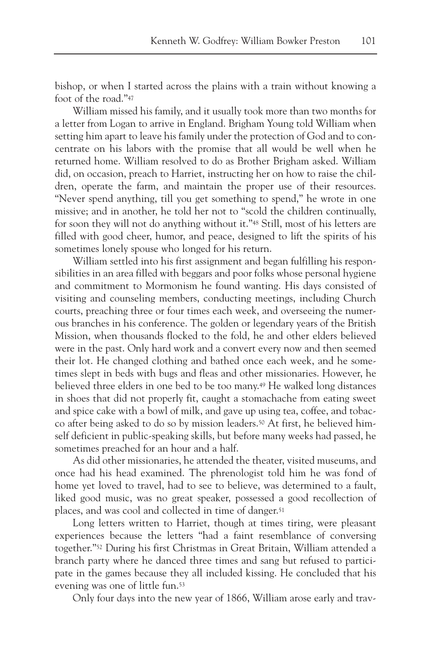bishop, or when I started across the plains with a train without knowing a foot of the road."47

William missed his family, and it usually took more than two months for a letter from Logan to arrive in England. Brigham Young told William when setting him apart to leave his family under the protection of God and to concentrate on his labors with the promise that all would be well when he returned home. William resolved to do as Brother Brigham asked. William did, on occasion, preach to Harriet, instructing her on how to raise the children, operate the farm, and maintain the proper use of their resources. "Never spend anything, till you get something to spend," he wrote in one missive; and in another, he told her not to "scold the children continually, for soon they will not do anything without it."48 Still, most of his letters are filled with good cheer, humor, and peace, designed to lift the spirits of his sometimes lonely spouse who longed for his return.

William settled into his first assignment and began fulfilling his responsibilities in an area filled with beggars and poor folks whose personal hygiene and commitment to Mormonism he found wanting. His days consisted of visiting and counseling members, conducting meetings, including Church courts, preaching three or four times each week, and overseeing the numerous branches in his conference. The golden or legendary years of the British Mission, when thousands flocked to the fold, he and other elders believed were in the past. Only hard work and a convert every now and then seemed their lot. He changed clothing and bathed once each week, and he sometimes slept in beds with bugs and fleas and other missionaries. However, he believed three elders in one bed to be too many.49 He walked long distances in shoes that did not properly fit, caught a stomachache from eating sweet and spice cake with a bowl of milk, and gave up using tea, coffee, and tobacco after being asked to do so by mission leaders.50 At first, he believed himself deficient in public-speaking skills, but before many weeks had passed, he sometimes preached for an hour and a half.

As did other missionaries, he attended the theater, visited museums, and once had his head examined. The phrenologist told him he was fond of home yet loved to travel, had to see to believe, was determined to a fault, liked good music, was no great speaker, possessed a good recollection of places, and was cool and collected in time of danger.51

Long letters written to Harriet, though at times tiring, were pleasant experiences because the letters "had a faint resemblance of conversing together."52 During his first Christmas in Great Britain, William attended a branch party where he danced three times and sang but refused to participate in the games because they all included kissing. He concluded that his evening was one of little fun.53

Only four days into the new year of 1866, William arose early and trav-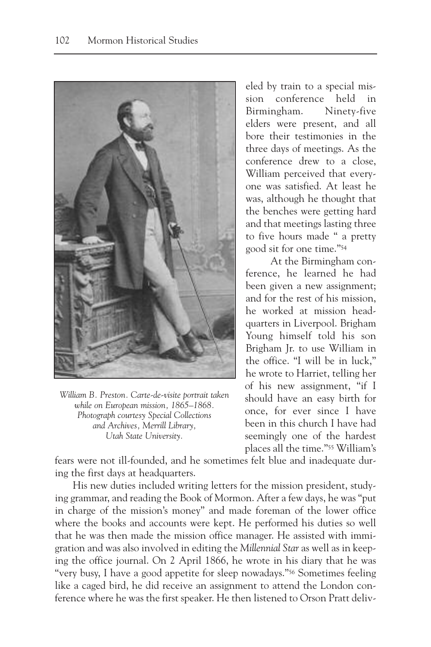

*William B. Preston. Carte-de-visite portrait taken while on European mission, 1865–1868. Photograph courtesy Special Collections and Archives, Merrill Library, Utah State University.*

eled by train to a special mission conference held in Birmingham. Ninety-five elders were present, and all bore their testimonies in the three days of meetings. As the conference drew to a close, William perceived that everyone was satisfied. At least he was, although he thought that the benches were getting hard and that meetings lasting three to five hours made " a pretty good sit for one time."54

At the Birmingham conference, he learned he had been given a new assignment; and for the rest of his mission, he worked at mission headquarters in Liverpool. Brigham Young himself told his son Brigham Jr. to use William in the office. "I will be in luck," he wrote to Harriet, telling her of his new assignment, "if I should have an easy birth for once, for ever since I have been in this church I have had seemingly one of the hardest places all the time."55 William's

fears were not ill-founded, and he sometimes felt blue and inadequate during the first days at headquarters.

His new duties included writing letters for the mission president, studying grammar, and reading the Book of Mormon. After a few days, he was "put in charge of the mission's money" and made foreman of the lower office where the books and accounts were kept. He performed his duties so well that he was then made the mission office manager. He assisted with immigration and was also involved in editing the *Millennial Star* as well as in keeping the office journal. On 2 April 1866, he wrote in his diary that he was "very busy, I have a good appetite for sleep nowadays."56 Sometimes feeling like a caged bird, he did receive an assignment to attend the London conference where he was the first speaker. He then listened to Orson Pratt deliv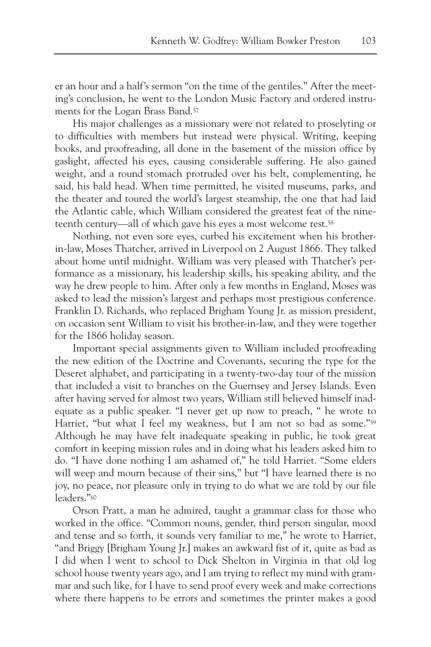er an hour and a half's sermon "on the time of the gentiles." After the meeting's conclusion, he went to the London Music Factory and ordered instruments for the Logan Brass Band.57

His major challenges as a missionary were not related to proselyting or to difficulties with members but instead were physical. Writing, keeping books, and proofreading, all done in the basement of the mission office by gaslight, affected his eyes, causing considerable suffering. He also gained weight, and a round stomach protruded over his belt, complementing, he said, his bald head. When time permitted, he visited museums, parks, and the theater and toured the world's largest steamship, the one that had laid the Atlantic cable, which William considered the greatest feat of the nineteenth century—all of which gave his eyes a most welcome rest.58

Nothing, not even sore eyes, curbed his excitement when his brotherin-law, Moses Thatcher, arrived in Liverpool on 2 August 1866. They talked about home until midnight. William was very pleased with Thatcher's performance as a missionary, his leadership skills, his speaking ability, and the way he drew people to him. After only a few months in England, Moses was asked to lead the mission's largest and perhaps most prestigious conference. Franklin D. Richards, who replaced Brigham Young Jr. as mission president, on occasion sent William to visit his brother-in-law, and they were together for the 1866 holiday season.

Important special assignments given to William included proofreading the new edition of the Doctrine and Covenants, securing the type for the Deseret alphabet, and participating in a twenty-two-day tour of the mission that included a visit to branches on the Guernsey and Jersey Islands. Even after having served for almost two years, William still believed himself inadequate as a public speaker. "I never get up now to preach, " he wrote to Harriet, "but what I feel my weakness, but I am not so bad as some."59 Although he may have felt inadequate speaking in public, he took great comfort in keeping mission rules and in doing what his leaders asked him to do. "I have done nothing I am ashamed of," he told Harriet. "Some elders will weep and mourn because of their sins," but "I have learned there is no joy, no peace, nor pleasure only in trying to do what we are told by our file leaders."60

Orson Pratt, a man he admired, taught a grammar class for those who worked in the office. "Common nouns, gender, third person singular, mood and tense and so forth, it sounds very familiar to me," he wrote to Harriet, "and Briggy [Brigham Young Jr.] makes an awkward fist of it, quite as bad as I did when I went to school to Dick Shelton in Virginia in that old log school house twenty years ago, and I am trying to reflect my mind with grammar and such like, for I have to send proof every week and make corrections where there happens to be errors and sometimes the printer makes a good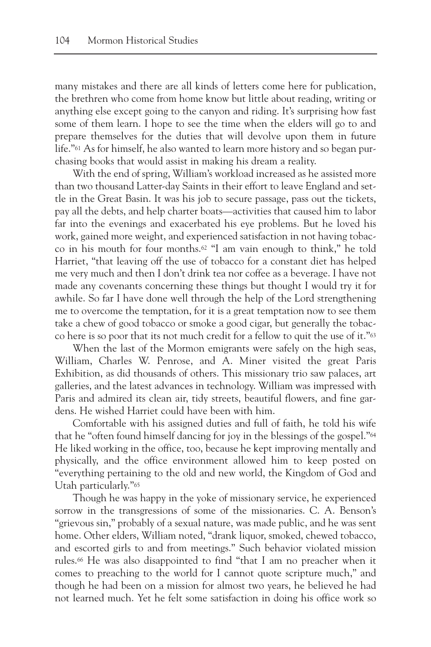many mistakes and there are all kinds of letters come here for publication, the brethren who come from home know but little about reading, writing or anything else except going to the canyon and riding. It's surprising how fast some of them learn. I hope to see the time when the elders will go to and prepare themselves for the duties that will devolve upon them in future life."61 As for himself, he also wanted to learn more history and so began purchasing books that would assist in making his dream a reality.

With the end of spring, William's workload increased as he assisted more than two thousand Latter-day Saints in their effort to leave England and settle in the Great Basin. It was his job to secure passage, pass out the tickets, pay all the debts, and help charter boats—activities that caused him to labor far into the evenings and exacerbated his eye problems. But he loved his work, gained more weight, and experienced satisfaction in not having tobacco in his mouth for four months.62 "I am vain enough to think," he told Harriet, "that leaving off the use of tobacco for a constant diet has helped me very much and then I don't drink tea nor coffee as a beverage. I have not made any covenants concerning these things but thought I would try it for awhile. So far I have done well through the help of the Lord strengthening me to overcome the temptation, for it is a great temptation now to see them take a chew of good tobacco or smoke a good cigar, but generally the tobacco here is so poor that its not much credit for a fellow to quit the use of it."63

When the last of the Mormon emigrants were safely on the high seas, William, Charles W. Penrose, and A. Miner visited the great Paris Exhibition, as did thousands of others. This missionary trio saw palaces, art galleries, and the latest advances in technology. William was impressed with Paris and admired its clean air, tidy streets, beautiful flowers, and fine gardens. He wished Harriet could have been with him.

Comfortable with his assigned duties and full of faith, he told his wife that he "often found himself dancing for joy in the blessings of the gospel."64 He liked working in the office, too, because he kept improving mentally and physically, and the office environment allowed him to keep posted on "everything pertaining to the old and new world, the Kingdom of God and Utah particularly."65

Though he was happy in the yoke of missionary service, he experienced sorrow in the transgressions of some of the missionaries. C. A. Benson's "grievous sin," probably of a sexual nature, was made public, and he was sent home. Other elders, William noted, "drank liquor, smoked, chewed tobacco, and escorted girls to and from meetings." Such behavior violated mission rules.66 He was also disappointed to find "that I am no preacher when it comes to preaching to the world for I cannot quote scripture much," and though he had been on a mission for almost two years, he believed he had not learned much. Yet he felt some satisfaction in doing his office work so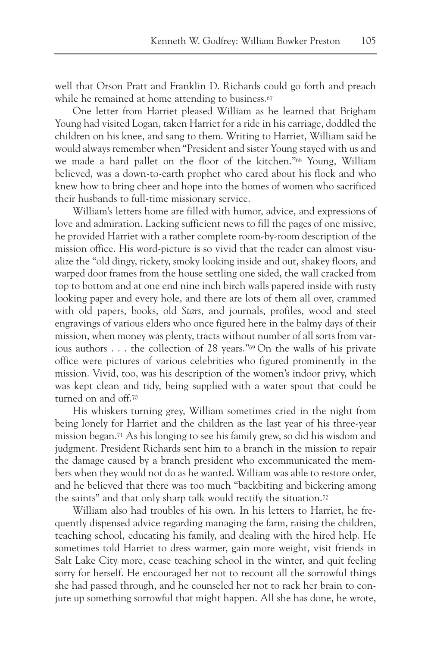well that Orson Pratt and Franklin D. Richards could go forth and preach while he remained at home attending to business.<sup>67</sup>

One letter from Harriet pleased William as he learned that Brigham Young had visited Logan, taken Harriet for a ride in his carriage, doddled the children on his knee, and sang to them. Writing to Harriet, William said he would always remember when "President and sister Young stayed with us and we made a hard pallet on the floor of the kitchen."68 Young, William believed, was a down-to-earth prophet who cared about his flock and who knew how to bring cheer and hope into the homes of women who sacrificed their husbands to full-time missionary service.

William's letters home are filled with humor, advice, and expressions of love and admiration. Lacking sufficient news to fill the pages of one missive, he provided Harriet with a rather complete room-by-room description of the mission office. His word-picture is so vivid that the reader can almost visualize the "old dingy, rickety, smoky looking inside and out, shakey floors, and warped door frames from the house settling one sided, the wall cracked from top to bottom and at one end nine inch birch walls papered inside with rusty looking paper and every hole, and there are lots of them all over, crammed with old papers, books, old *Stars*, and journals, profiles, wood and steel engravings of various elders who once figured here in the balmy days of their mission, when money was plenty, tracts without number of all sorts from various authors . . . the collection of 28 years."69 On the walls of his private office were pictures of various celebrities who figured prominently in the mission. Vivid, too, was his description of the women's indoor privy, which was kept clean and tidy, being supplied with a water spout that could be turned on and off.70

His whiskers turning grey, William sometimes cried in the night from being lonely for Harriet and the children as the last year of his three-year mission began.71 As his longing to see his family grew, so did his wisdom and judgment. President Richards sent him to a branch in the mission to repair the damage caused by a branch president who excommunicated the members when they would not do as he wanted. William was able to restore order, and he believed that there was too much "backbiting and bickering among the saints" and that only sharp talk would rectify the situation.<sup>72</sup>

William also had troubles of his own. In his letters to Harriet, he frequently dispensed advice regarding managing the farm, raising the children, teaching school, educating his family, and dealing with the hired help. He sometimes told Harriet to dress warmer, gain more weight, visit friends in Salt Lake City more, cease teaching school in the winter, and quit feeling sorry for herself. He encouraged her not to recount all the sorrowful things she had passed through, and he counseled her not to rack her brain to conjure up something sorrowful that might happen. All she has done, he wrote,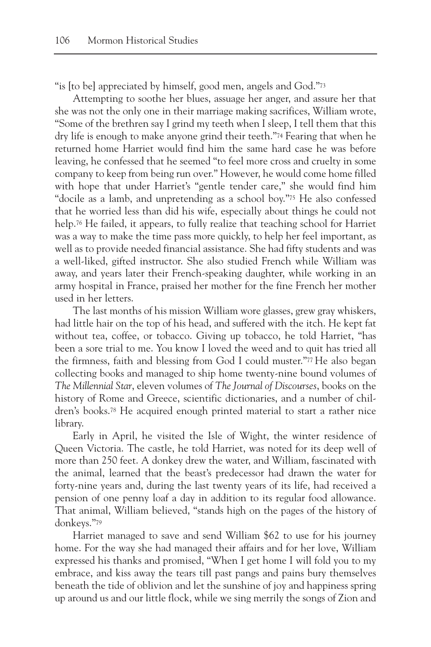"is [to be] appreciated by himself, good men, angels and God."73

Attempting to soothe her blues, assuage her anger, and assure her that she was not the only one in their marriage making sacrifices, William wrote, "Some of the brethren say I grind my teeth when I sleep, I tell them that this dry life is enough to make anyone grind their teeth."74 Fearing that when he returned home Harriet would find him the same hard case he was before leaving, he confessed that he seemed "to feel more cross and cruelty in some company to keep from being run over." However, he would come home filled with hope that under Harriet's "gentle tender care," she would find him "docile as a lamb, and unpretending as a school boy."75 He also confessed that he worried less than did his wife, especially about things he could not help.76 He failed, it appears, to fully realize that teaching school for Harriet was a way to make the time pass more quickly, to help her feel important, as well as to provide needed financial assistance. She had fifty students and was a well-liked, gifted instructor. She also studied French while William was away, and years later their French-speaking daughter, while working in an army hospital in France, praised her mother for the fine French her mother used in her letters.

The last months of his mission William wore glasses, grew gray whiskers, had little hair on the top of his head, and suffered with the itch. He kept fat without tea, coffee, or tobacco. Giving up tobacco, he told Harriet, "has been a sore trial to me. You know I loved the weed and to quit has tried all the firmness, faith and blessing from God I could muster."77 He also began collecting books and managed to ship home twenty-nine bound volumes of *The Millennial Star*, eleven volumes of *The Journal of Discourses*, books on the history of Rome and Greece, scientific dictionaries, and a number of children's books.78 He acquired enough printed material to start a rather nice library.

Early in April, he visited the Isle of Wight, the winter residence of Queen Victoria. The castle, he told Harriet, was noted for its deep well of more than 250 feet. A donkey drew the water, and William, fascinated with the animal, learned that the beast's predecessor had drawn the water for forty-nine years and, during the last twenty years of its life, had received a pension of one penny loaf a day in addition to its regular food allowance. That animal, William believed, "stands high on the pages of the history of donkeys."79

Harriet managed to save and send William \$62 to use for his journey home. For the way she had managed their affairs and for her love, William expressed his thanks and promised, "When I get home I will fold you to my embrace, and kiss away the tears till past pangs and pains bury themselves beneath the tide of oblivion and let the sunshine of joy and happiness spring up around us and our little flock, while we sing merrily the songs of Zion and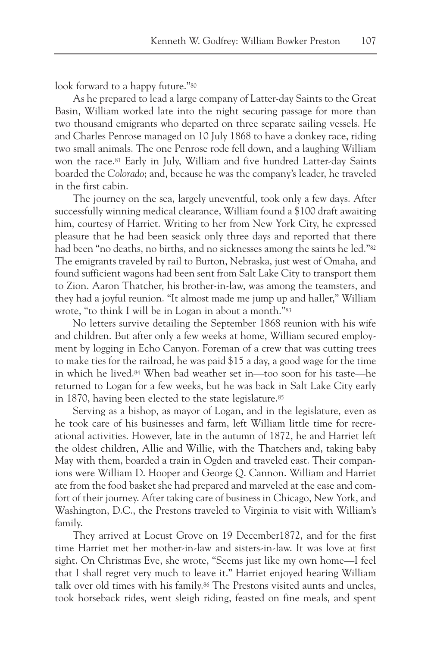look forward to a happy future."<sup>80</sup>

As he prepared to lead a large company of Latter-day Saints to the Great Basin, William worked late into the night securing passage for more than two thousand emigrants who departed on three separate sailing vessels. He and Charles Penrose managed on 10 July 1868 to have a donkey race, riding two small animals. The one Penrose rode fell down, and a laughing William won the race.81 Early in July, William and five hundred Latter-day Saints boarded the *Colorado*; and, because he was the company's leader, he traveled in the first cabin.

The journey on the sea, largely uneventful, took only a few days. After successfully winning medical clearance, William found a \$100 draft awaiting him, courtesy of Harriet. Writing to her from New York City, he expressed pleasure that he had been seasick only three days and reported that there had been "no deaths, no births, and no sicknesses among the saints he led."82 The emigrants traveled by rail to Burton, Nebraska, just west of Omaha, and found sufficient wagons had been sent from Salt Lake City to transport them to Zion. Aaron Thatcher, his brother-in-law, was among the teamsters, and they had a joyful reunion. "It almost made me jump up and haller," William wrote, "to think I will be in Logan in about a month."83

No letters survive detailing the September 1868 reunion with his wife and children. But after only a few weeks at home, William secured employment by logging in Echo Canyon. Foreman of a crew that was cutting trees to make ties for the railroad, he was paid \$15 a day, a good wage for the time in which he lived.84 When bad weather set in—too soon for his taste—he returned to Logan for a few weeks, but he was back in Salt Lake City early in 1870, having been elected to the state legislature.85

Serving as a bishop, as mayor of Logan, and in the legislature, even as he took care of his businesses and farm, left William little time for recreational activities. However, late in the autumn of 1872, he and Harriet left the oldest children, Allie and Willie, with the Thatchers and, taking baby May with them, boarded a train in Ogden and traveled east. Their companions were William D. Hooper and George Q. Cannon. William and Harriet ate from the food basket she had prepared and marveled at the ease and comfort of their journey. After taking care of business in Chicago, New York, and Washington, D.C., the Prestons traveled to Virginia to visit with William's family.

They arrived at Locust Grove on 19 December1872, and for the first time Harriet met her mother-in-law and sisters-in-law. It was love at first sight. On Christmas Eve, she wrote, "Seems just like my own home—I feel that I shall regret very much to leave it." Harriet enjoyed hearing William talk over old times with his family.86 The Prestons visited aunts and uncles, took horseback rides, went sleigh riding, feasted on fine meals, and spent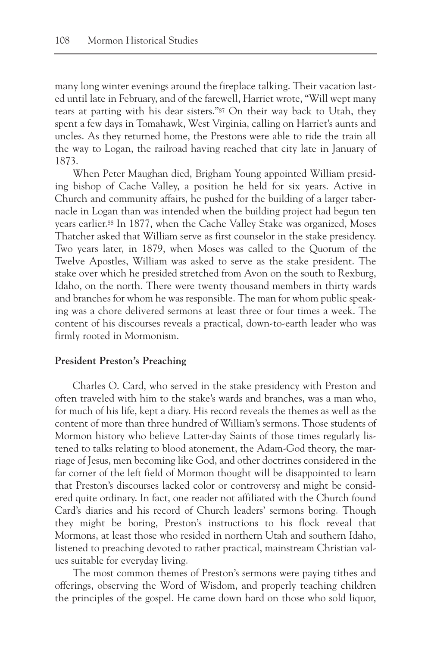many long winter evenings around the fireplace talking. Their vacation lasted until late in February, and of the farewell, Harriet wrote, "Will wept many tears at parting with his dear sisters."87 On their way back to Utah, they spent a few days in Tomahawk, West Virginia, calling on Harriet's aunts and uncles. As they returned home, the Prestons were able to ride the train all the way to Logan, the railroad having reached that city late in January of 1873.

When Peter Maughan died, Brigham Young appointed William presiding bishop of Cache Valley, a position he held for six years. Active in Church and community affairs, he pushed for the building of a larger tabernacle in Logan than was intended when the building project had begun ten years earlier.88 In 1877, when the Cache Valley Stake was organized, Moses Thatcher asked that William serve as first counselor in the stake presidency. Two years later, in 1879, when Moses was called to the Quorum of the Twelve Apostles, William was asked to serve as the stake president. The stake over which he presided stretched from Avon on the south to Rexburg, Idaho, on the north. There were twenty thousand members in thirty wards and branches for whom he was responsible. The man for whom public speaking was a chore delivered sermons at least three or four times a week. The content of his discourses reveals a practical, down-to-earth leader who was firmly rooted in Mormonism.

# **President Preston's Preaching**

Charles O. Card, who served in the stake presidency with Preston and often traveled with him to the stake's wards and branches, was a man who, for much of his life, kept a diary. His record reveals the themes as well as the content of more than three hundred of William's sermons. Those students of Mormon history who believe Latter-day Saints of those times regularly listened to talks relating to blood atonement, the Adam-God theory, the marriage of Jesus, men becoming like God, and other doctrines considered in the far corner of the left field of Mormon thought will be disappointed to learn that Preston's discourses lacked color or controversy and might be considered quite ordinary. In fact, one reader not affiliated with the Church found Card's diaries and his record of Church leaders' sermons boring. Though they might be boring, Preston's instructions to his flock reveal that Mormons, at least those who resided in northern Utah and southern Idaho, listened to preaching devoted to rather practical, mainstream Christian values suitable for everyday living.

The most common themes of Preston's sermons were paying tithes and offerings, observing the Word of Wisdom, and properly teaching children the principles of the gospel. He came down hard on those who sold liquor,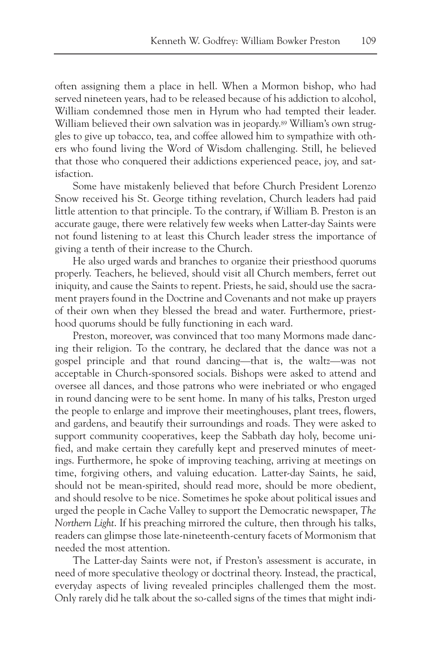often assigning them a place in hell. When a Mormon bishop, who had served nineteen years, had to be released because of his addiction to alcohol, William condemned those men in Hyrum who had tempted their leader. William believed their own salvation was in jeopardy.<sup>89</sup> William's own struggles to give up tobacco, tea, and coffee allowed him to sympathize with others who found living the Word of Wisdom challenging. Still, he believed that those who conquered their addictions experienced peace, joy, and satisfaction.

Some have mistakenly believed that before Church President Lorenzo Snow received his St. George tithing revelation, Church leaders had paid little attention to that principle. To the contrary, if William B. Preston is an accurate gauge, there were relatively few weeks when Latter-day Saints were not found listening to at least this Church leader stress the importance of giving a tenth of their increase to the Church.

He also urged wards and branches to organize their priesthood quorums properly. Teachers, he believed, should visit all Church members, ferret out iniquity, and cause the Saints to repent. Priests, he said, should use the sacrament prayers found in the Doctrine and Covenants and not make up prayers of their own when they blessed the bread and water. Furthermore, priesthood quorums should be fully functioning in each ward.

Preston, moreover, was convinced that too many Mormons made dancing their religion. To the contrary, he declared that the dance was not a gospel principle and that round dancing—that is, the waltz—was not acceptable in Church-sponsored socials. Bishops were asked to attend and oversee all dances, and those patrons who were inebriated or who engaged in round dancing were to be sent home. In many of his talks, Preston urged the people to enlarge and improve their meetinghouses, plant trees, flowers, and gardens, and beautify their surroundings and roads. They were asked to support community cooperatives, keep the Sabbath day holy, become unified, and make certain they carefully kept and preserved minutes of meetings. Furthermore, he spoke of improving teaching, arriving at meetings on time, forgiving others, and valuing education. Latter-day Saints, he said, should not be mean-spirited, should read more, should be more obedient, and should resolve to be nice. Sometimes he spoke about political issues and urged the people in Cache Valley to support the Democratic newspaper, *The Northern Light*. If his preaching mirrored the culture, then through his talks, readers can glimpse those late-nineteenth-century facets of Mormonism that needed the most attention.

The Latter-day Saints were not, if Preston's assessment is accurate, in need of more speculative theology or doctrinal theory. Instead, the practical, everyday aspects of living revealed principles challenged them the most. Only rarely did he talk about the so-called signs of the times that might indi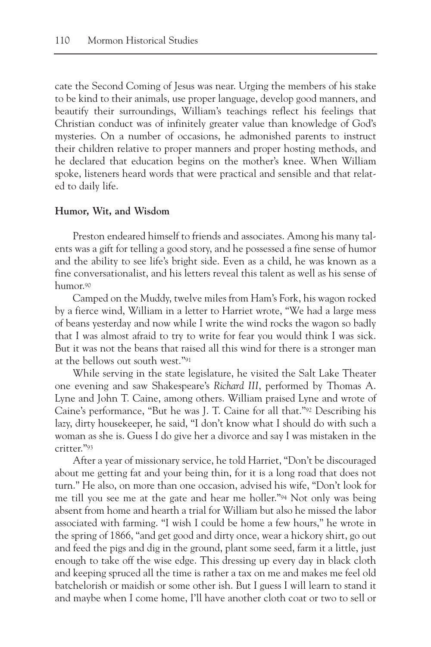cate the Second Coming of Jesus was near. Urging the members of his stake to be kind to their animals, use proper language, develop good manners, and beautify their surroundings, William's teachings reflect his feelings that Christian conduct was of infinitely greater value than knowledge of God's mysteries. On a number of occasions, he admonished parents to instruct their children relative to proper manners and proper hosting methods, and he declared that education begins on the mother's knee. When William spoke, listeners heard words that were practical and sensible and that related to daily life.

# **Humor, Wit, and Wisdom**

Preston endeared himself to friends and associates. Among his many talents was a gift for telling a good story, and he possessed a fine sense of humor and the ability to see life's bright side. Even as a child, he was known as a fine conversationalist, and his letters reveal this talent as well as his sense of humor.90

Camped on the Muddy, twelve miles from Ham's Fork, his wagon rocked by a fierce wind, William in a letter to Harriet wrote, "We had a large mess of beans yesterday and now while I write the wind rocks the wagon so badly that I was almost afraid to try to write for fear you would think I was sick. But it was not the beans that raised all this wind for there is a stronger man at the bellows out south west."91

While serving in the state legislature, he visited the Salt Lake Theater one evening and saw Shakespeare's *Richard III*, performed by Thomas A. Lyne and John T. Caine, among others. William praised Lyne and wrote of Caine's performance, "But he was J. T. Caine for all that."92 Describing his lazy, dirty housekeeper, he said, "I don't know what I should do with such a woman as she is. Guess I do give her a divorce and say I was mistaken in the critter."93

After a year of missionary service, he told Harriet, "Don't be discouraged about me getting fat and your being thin, for it is a long road that does not turn." He also, on more than one occasion, advised his wife, "Don't look for me till you see me at the gate and hear me holler."94 Not only was being absent from home and hearth a trial for William but also he missed the labor associated with farming. "I wish I could be home a few hours," he wrote in the spring of 1866, "and get good and dirty once, wear a hickory shirt, go out and feed the pigs and dig in the ground, plant some seed, farm it a little, just enough to take off the wise edge. This dressing up every day in black cloth and keeping spruced all the time is rather a tax on me and makes me feel old batchelorish or maidish or some other ish. But I guess I will learn to stand it and maybe when I come home, I'll have another cloth coat or two to sell or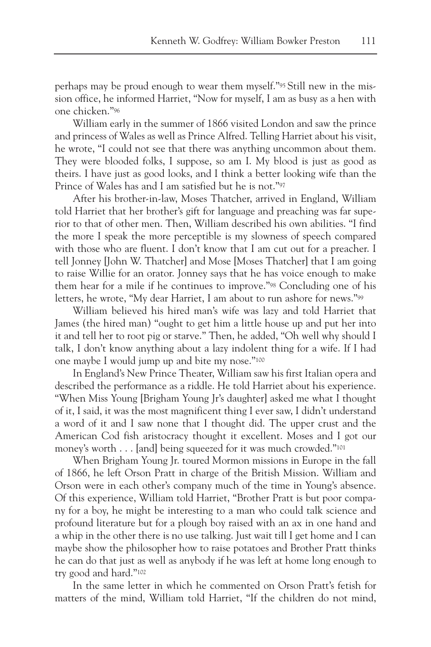perhaps may be proud enough to wear them myself."95 Still new in the mission office, he informed Harriet, "Now for myself, I am as busy as a hen with one chicken."96

William early in the summer of 1866 visited London and saw the prince and princess of Wales as well as Prince Alfred. Telling Harriet about his visit, he wrote, "I could not see that there was anything uncommon about them. They were blooded folks, I suppose, so am I. My blood is just as good as theirs. I have just as good looks, and I think a better looking wife than the Prince of Wales has and I am satisfied but he is not."97

After his brother-in-law, Moses Thatcher, arrived in England, William told Harriet that her brother's gift for language and preaching was far superior to that of other men. Then, William described his own abilities. "I find the more I speak the more perceptible is my slowness of speech compared with those who are fluent. I don't know that I am cut out for a preacher. I tell Jonney [John W. Thatcher] and Mose [Moses Thatcher] that I am going to raise Willie for an orator. Jonney says that he has voice enough to make them hear for a mile if he continues to improve."98 Concluding one of his letters, he wrote, "My dear Harriet, I am about to run ashore for news."99

William believed his hired man's wife was lazy and told Harriet that James (the hired man) "ought to get him a little house up and put her into it and tell her to root pig or starve." Then, he added, "Oh well why should I talk, I don't know anything about a lazy indolent thing for a wife. If I had one maybe I would jump up and bite my nose."100

In England's New Prince Theater, William saw his first Italian opera and described the performance as a riddle. He told Harriet about his experience. "When Miss Young [Brigham Young Jr's daughter] asked me what I thought of it, I said, it was the most magnificent thing I ever saw, I didn't understand a word of it and I saw none that I thought did. The upper crust and the American Cod fish aristocracy thought it excellent. Moses and I got our money's worth . . . [and] being squeezed for it was much crowded."101

When Brigham Young Jr. toured Mormon missions in Europe in the fall of 1866, he left Orson Pratt in charge of the British Mission. William and Orson were in each other's company much of the time in Young's absence. Of this experience, William told Harriet, "Brother Pratt is but poor company for a boy, he might be interesting to a man who could talk science and profound literature but for a plough boy raised with an ax in one hand and a whip in the other there is no use talking. Just wait till I get home and I can maybe show the philosopher how to raise potatoes and Brother Pratt thinks he can do that just as well as anybody if he was left at home long enough to try good and hard."102

In the same letter in which he commented on Orson Pratt's fetish for matters of the mind, William told Harriet, "If the children do not mind,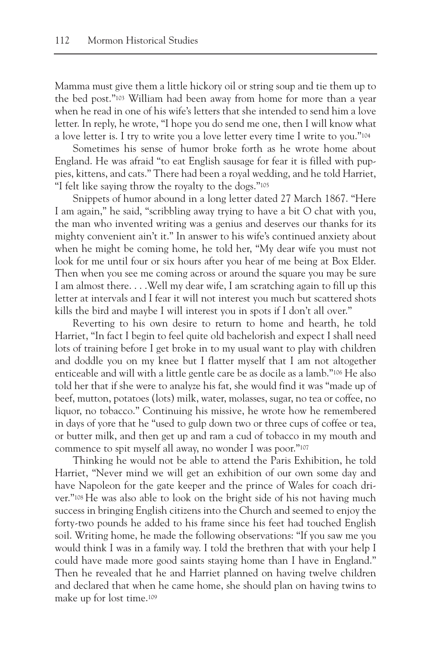Mamma must give them a little hickory oil or string soup and tie them up to the bed post."103 William had been away from home for more than a year when he read in one of his wife's letters that she intended to send him a love letter. In reply, he wrote, "I hope you do send me one, then I will know what a love letter is. I try to write you a love letter every time I write to you."104

Sometimes his sense of humor broke forth as he wrote home about England. He was afraid "to eat English sausage for fear it is filled with puppies, kittens, and cats." There had been a royal wedding, and he told Harriet, "I felt like saying throw the royalty to the dogs."105

Snippets of humor abound in a long letter dated 27 March 1867. "Here I am again," he said, "scribbling away trying to have a bit O chat with you, the man who invented writing was a genius and deserves our thanks for its mighty convenient ain't it." In answer to his wife's continued anxiety about when he might be coming home, he told her, "My dear wife you must not look for me until four or six hours after you hear of me being at Box Elder. Then when you see me coming across or around the square you may be sure I am almost there. . . .Well my dear wife, I am scratching again to fill up this letter at intervals and I fear it will not interest you much but scattered shots kills the bird and maybe I will interest you in spots if I don't all over."

Reverting to his own desire to return to home and hearth, he told Harriet, "In fact I begin to feel quite old bachelorish and expect I shall need lots of training before I get broke in to my usual want to play with children and doddle you on my knee but I flatter myself that I am not altogether enticeable and will with a little gentle care be as docile as a lamb."106 He also told her that if she were to analyze his fat, she would find it was "made up of beef, mutton, potatoes (lots) milk, water, molasses, sugar, no tea or coffee, no liquor, no tobacco." Continuing his missive, he wrote how he remembered in days of yore that he "used to gulp down two or three cups of coffee or tea, or butter milk, and then get up and ram a cud of tobacco in my mouth and commence to spit myself all away, no wonder I was poor."107

Thinking he would not be able to attend the Paris Exhibition, he told Harriet, "Never mind we will get an exhibition of our own some day and have Napoleon for the gate keeper and the prince of Wales for coach driver."108 He was also able to look on the bright side of his not having much success in bringing English citizens into the Church and seemed to enjoy the forty-two pounds he added to his frame since his feet had touched English soil. Writing home, he made the following observations: "If you saw me you would think I was in a family way. I told the brethren that with your help I could have made more good saints staying home than I have in England." Then he revealed that he and Harriet planned on having twelve children and declared that when he came home, she should plan on having twins to make up for lost time.109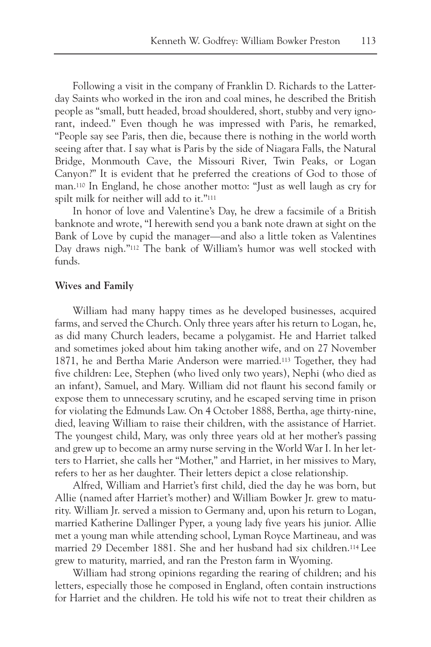Following a visit in the company of Franklin D. Richards to the Latterday Saints who worked in the iron and coal mines, he described the British people as "small, butt headed, broad shouldered, short, stubby and very ignorant, indeed." Even though he was impressed with Paris, he remarked, "People say see Paris, then die, because there is nothing in the world worth seeing after that. I say what is Paris by the side of Niagara Falls, the Natural Bridge, Monmouth Cave, the Missouri River, Twin Peaks, or Logan Canyon?" It is evident that he preferred the creations of God to those of man.110 In England, he chose another motto: "Just as well laugh as cry for spilt milk for neither will add to it."111

In honor of love and Valentine's Day, he drew a facsimile of a British banknote and wrote, "I herewith send you a bank note drawn at sight on the Bank of Love by cupid the manager—and also a little token as Valentines Day draws nigh."112 The bank of William's humor was well stocked with funds.

## **Wives and Family**

William had many happy times as he developed businesses, acquired farms, and served the Church. Only three years after his return to Logan, he, as did many Church leaders, became a polygamist. He and Harriet talked and sometimes joked about him taking another wife, and on 27 November 1871, he and Bertha Marie Anderson were married.113 Together, they had five children: Lee, Stephen (who lived only two years), Nephi (who died as an infant), Samuel, and Mary. William did not flaunt his second family or expose them to unnecessary scrutiny, and he escaped serving time in prison for violating the Edmunds Law. On 4 October 1888, Bertha, age thirty-nine, died, leaving William to raise their children, with the assistance of Harriet. The youngest child, Mary, was only three years old at her mother's passing and grew up to become an army nurse serving in the World War I. In her letters to Harriet, she calls her "Mother," and Harriet, in her missives to Mary, refers to her as her daughter. Their letters depict a close relationship.

Alfred, William and Harriet's first child, died the day he was born, but Allie (named after Harriet's mother) and William Bowker Jr. grew to maturity. William Jr. served a mission to Germany and, upon his return to Logan, married Katherine Dallinger Pyper, a young lady five years his junior. Allie met a young man while attending school, Lyman Royce Martineau, and was married 29 December 1881. She and her husband had six children.114 Lee grew to maturity, married, and ran the Preston farm in Wyoming.

William had strong opinions regarding the rearing of children; and his letters, especially those he composed in England, often contain instructions for Harriet and the children. He told his wife not to treat their children as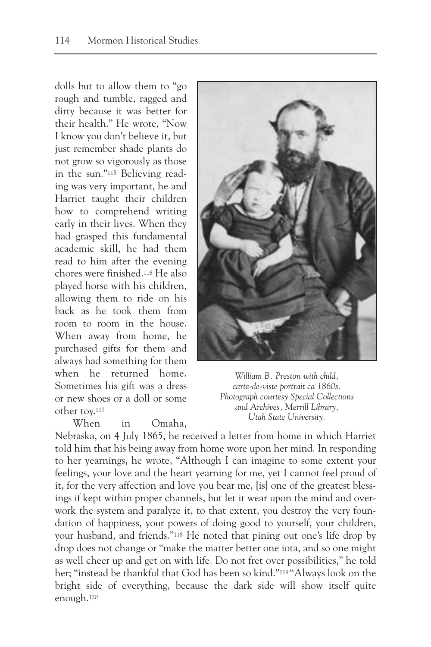dolls but to allow them to "go rough and tumble, ragged and dirty because it was better for their health." He wrote, "Now I know you don't believe it, but just remember shade plants do not grow so vigorously as those in the sun."115 Believing reading was very important, he and Harriet taught their children how to comprehend writing early in their lives. When they had grasped this fundamental academic skill, he had them read to him after the evening chores were finished.116 He also played horse with his children, allowing them to ride on his back as he took them from room to room in the house. When away from home, he purchased gifts for them and always had something for them when he returned home. Sometimes his gift was a dress or new shoes or a doll or some other toy.117

When in Omaha,



*William B. Preston with child, carte-de-viste portrait ca 1860s. Photograph courtesy Special Collections and Archives, Merrill Library, Utah State University.*

Nebraska, on 4 July 1865, he received a letter from home in which Harriet told him that his being away from home wore upon her mind. In responding to her yearnings, he wrote, "Although I can imagine to some extent your feelings, your love and the heart yearning for me, yet I cannot feel proud of it, for the very affection and love you bear me, [is] one of the greatest blessings if kept within proper channels, but let it wear upon the mind and overwork the system and paralyze it, to that extent, you destroy the very foundation of happiness, your powers of doing good to yourself, your children, your husband, and friends."118 He noted that pining out one's life drop by drop does not change or "make the matter better one iota, and so one might as well cheer up and get on with life. Do not fret over possibilities," he told her; "instead be thankful that God has been so kind."119 "Always look on the bright side of everything, because the dark side will show itself quite enough.120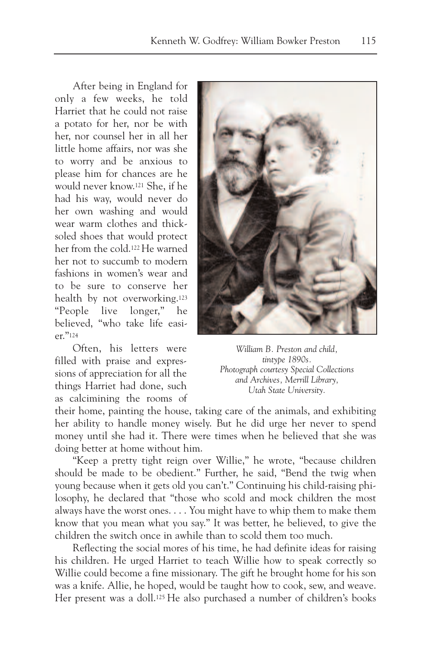After being in England for only a few weeks, he told Harriet that he could not raise a potato for her, nor be with her, nor counsel her in all her little home affairs, nor was she to worry and be anxious to please him for chances are he would never know.121 She, if he had his way, would never do her own washing and would wear warm clothes and thicksoled shoes that would protect her from the cold.122He warned her not to succumb to modern fashions in women's wear and to be sure to conserve her health by not overworking.123 "People live longer," he believed, "who take life easier."124

Often, his letters were filled with praise and expressions of appreciation for all the things Harriet had done, such as calcimining the rooms of



*William B. Preston and child, tintype 1890s. Photograph courtesy Special Collections and Archives, Merrill Library, Utah State University.*

their home, painting the house, taking care of the animals, and exhibiting her ability to handle money wisely. But he did urge her never to spend money until she had it. There were times when he believed that she was doing better at home without him.

"Keep a pretty tight reign over Willie," he wrote, "because children should be made to be obedient." Further, he said, "Bend the twig when young because when it gets old you can't." Continuing his child-raising philosophy, he declared that "those who scold and mock children the most always have the worst ones. . . . You might have to whip them to make them know that you mean what you say." It was better, he believed, to give the children the switch once in awhile than to scold them too much.

Reflecting the social mores of his time, he had definite ideas for raising his children. He urged Harriet to teach Willie how to speak correctly so Willie could become a fine missionary. The gift he brought home for his son was a knife. Allie, he hoped, would be taught how to cook, sew, and weave. Her present was a doll.125 He also purchased a number of children's books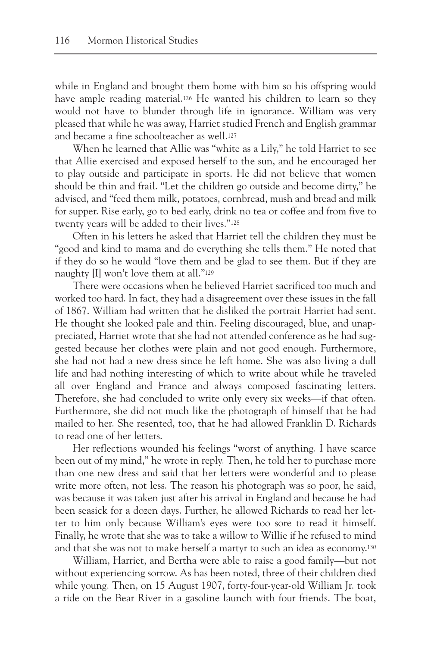while in England and brought them home with him so his offspring would have ample reading material.<sup>126</sup> He wanted his children to learn so they would not have to blunder through life in ignorance. William was very pleased that while he was away, Harriet studied French and English grammar and became a fine schoolteacher as well.127

When he learned that Allie was "white as a Lily," he told Harriet to see that Allie exercised and exposed herself to the sun, and he encouraged her to play outside and participate in sports. He did not believe that women should be thin and frail. "Let the children go outside and become dirty," he advised, and "feed them milk, potatoes, cornbread, mush and bread and milk for supper. Rise early, go to bed early, drink no tea or coffee and from five to twenty years will be added to their lives."128

Often in his letters he asked that Harriet tell the children they must be "good and kind to mama and do everything she tells them." He noted that if they do so he would "love them and be glad to see them. But if they are naughty [I] won't love them at all."129

There were occasions when he believed Harriet sacrificed too much and worked too hard. In fact, they had a disagreement over these issues in the fall of 1867. William had written that he disliked the portrait Harriet had sent. He thought she looked pale and thin. Feeling discouraged, blue, and unappreciated, Harriet wrote that she had not attended conference as he had suggested because her clothes were plain and not good enough. Furthermore, she had not had a new dress since he left home. She was also living a dull life and had nothing interesting of which to write about while he traveled all over England and France and always composed fascinating letters. Therefore, she had concluded to write only every six weeks—if that often. Furthermore, she did not much like the photograph of himself that he had mailed to her. She resented, too, that he had allowed Franklin D. Richards to read one of her letters.

Her reflections wounded his feelings "worst of anything. I have scarce been out of my mind," he wrote in reply. Then, he told her to purchase more than one new dress and said that her letters were wonderful and to please write more often, not less. The reason his photograph was so poor, he said, was because it was taken just after his arrival in England and because he had been seasick for a dozen days. Further, he allowed Richards to read her letter to him only because William's eyes were too sore to read it himself. Finally, he wrote that she was to take a willow to Willie if he refused to mind and that she was not to make herself a martyr to such an idea as economy.130

William, Harriet, and Bertha were able to raise a good family—but not without experiencing sorrow. As has been noted, three of their children died while young. Then, on 15 August 1907, forty-four-year-old William Jr. took a ride on the Bear River in a gasoline launch with four friends. The boat,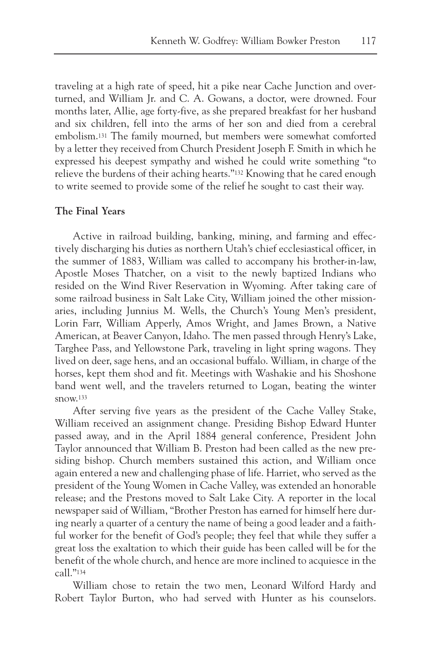traveling at a high rate of speed, hit a pike near Cache Junction and overturned, and William Jr. and C. A. Gowans, a doctor, were drowned. Four months later, Allie, age forty-five, as she prepared breakfast for her husband and six children, fell into the arms of her son and died from a cerebral embolism.131 The family mourned, but members were somewhat comforted by a letter they received from Church President Joseph F. Smith in which he expressed his deepest sympathy and wished he could write something "to relieve the burdens of their aching hearts."132 Knowing that he cared enough to write seemed to provide some of the relief he sought to cast their way.

# **The Final Years**

Active in railroad building, banking, mining, and farming and effectively discharging his duties as northern Utah's chief ecclesiastical officer, in the summer of 1883, William was called to accompany his brother-in-law, Apostle Moses Thatcher, on a visit to the newly baptized Indians who resided on the Wind River Reservation in Wyoming. After taking care of some railroad business in Salt Lake City, William joined the other missionaries, including Junnius M. Wells, the Church's Young Men's president, Lorin Farr, William Apperly, Amos Wright, and James Brown, a Native American, at Beaver Canyon, Idaho. The men passed through Henry's Lake, Targhee Pass, and Yellowstone Park, traveling in light spring wagons. They lived on deer, sage hens, and an occasional buffalo. William, in charge of the horses, kept them shod and fit. Meetings with Washakie and his Shoshone band went well, and the travelers returned to Logan, beating the winter  $snow<sub>133</sub>$ 

After serving five years as the president of the Cache Valley Stake, William received an assignment change. Presiding Bishop Edward Hunter passed away, and in the April 1884 general conference, President John Taylor announced that William B. Preston had been called as the new presiding bishop. Church members sustained this action, and William once again entered a new and challenging phase of life. Harriet, who served as the president of the Young Women in Cache Valley, was extended an honorable release; and the Prestons moved to Salt Lake City. A reporter in the local newspaper said of William, "Brother Preston has earned for himself here during nearly a quarter of a century the name of being a good leader and a faithful worker for the benefit of God's people; they feel that while they suffer a great loss the exaltation to which their guide has been called will be for the benefit of the whole church, and hence are more inclined to acquiesce in the call."134

William chose to retain the two men, Leonard Wilford Hardy and Robert Taylor Burton, who had served with Hunter as his counselors.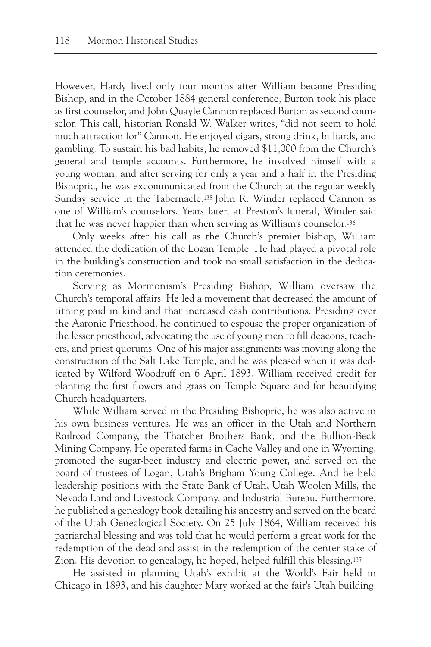However, Hardy lived only four months after William became Presiding Bishop, and in the October 1884 general conference, Burton took his place as first counselor, and John Quayle Cannon replaced Burton as second counselor. This call, historian Ronald W. Walker writes, "did not seem to hold much attraction for" Cannon. He enjoyed cigars, strong drink, billiards, and gambling. To sustain his bad habits, he removed \$11,000 from the Church's general and temple accounts. Furthermore, he involved himself with a young woman, and after serving for only a year and a half in the Presiding Bishopric, he was excommunicated from the Church at the regular weekly Sunday service in the Tabernacle.135 John R. Winder replaced Cannon as one of William's counselors. Years later, at Preston's funeral, Winder said that he was never happier than when serving as William's counselor.136

Only weeks after his call as the Church's premier bishop, William attended the dedication of the Logan Temple. He had played a pivotal role in the building's construction and took no small satisfaction in the dedication ceremonies.

Serving as Mormonism's Presiding Bishop, William oversaw the Church's temporal affairs. He led a movement that decreased the amount of tithing paid in kind and that increased cash contributions. Presiding over the Aaronic Priesthood, he continued to espouse the proper organization of the lesser priesthood, advocating the use of young men to fill deacons, teachers, and priest quorums. One of his major assignments was moving along the construction of the Salt Lake Temple, and he was pleased when it was dedicated by Wilford Woodruff on 6 April 1893. William received credit for planting the first flowers and grass on Temple Square and for beautifying Church headquarters.

While William served in the Presiding Bishopric, he was also active in his own business ventures. He was an officer in the Utah and Northern Railroad Company, the Thatcher Brothers Bank, and the Bullion-Beck Mining Company. He operated farms in Cache Valley and one in Wyoming, promoted the sugar-beet industry and electric power, and served on the board of trustees of Logan, Utah's Brigham Young College. And he held leadership positions with the State Bank of Utah, Utah Woolen Mills, the Nevada Land and Livestock Company, and Industrial Bureau. Furthermore, he published a genealogy book detailing his ancestry and served on the board of the Utah Genealogical Society. On 25 July 1864, William received his patriarchal blessing and was told that he would perform a great work for the redemption of the dead and assist in the redemption of the center stake of Zion. His devotion to genealogy, he hoped, helped fulfill this blessing.137

He assisted in planning Utah's exhibit at the World's Fair held in Chicago in 1893, and his daughter Mary worked at the fair's Utah building.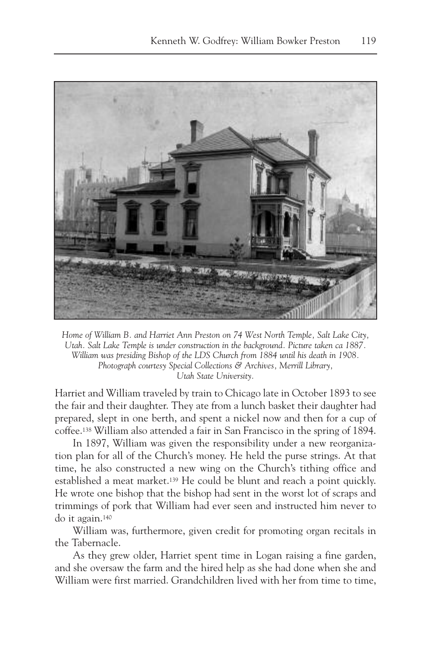

*Home of William B. and Harriet Ann Preston on 74 West North Temple, Salt Lake City, Utah. Salt Lake Temple is under construction in the background. Picture taken ca 1887. William was presiding Bishop of the LDS Church from 1884 until his death in 1908. Photograph courtesy Special Collections & Archives, Merrill Library, Utah State University.*

Harriet and William traveled by train to Chicago late in October 1893 to see the fair and their daughter. They ate from a lunch basket their daughter had prepared, slept in one berth, and spent a nickel now and then for a cup of coffee.138 William also attended a fair in San Francisco in the spring of 1894.

In 1897, William was given the responsibility under a new reorganization plan for all of the Church's money. He held the purse strings. At that time, he also constructed a new wing on the Church's tithing office and established a meat market.139 He could be blunt and reach a point quickly. He wrote one bishop that the bishop had sent in the worst lot of scraps and trimmings of pork that William had ever seen and instructed him never to do it again.140

William was, furthermore, given credit for promoting organ recitals in the Tabernacle.

As they grew older, Harriet spent time in Logan raising a fine garden, and she oversaw the farm and the hired help as she had done when she and William were first married. Grandchildren lived with her from time to time,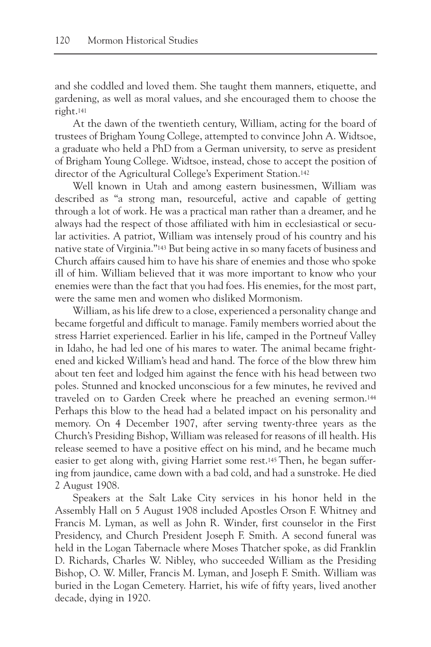and she coddled and loved them. She taught them manners, etiquette, and gardening, as well as moral values, and she encouraged them to choose the right.141

At the dawn of the twentieth century, William, acting for the board of trustees of Brigham Young College, attempted to convince John A. Widtsoe, a graduate who held a PhD from a German university, to serve as president of Brigham Young College. Widtsoe, instead, chose to accept the position of director of the Agricultural College's Experiment Station.142

Well known in Utah and among eastern businessmen, William was described as "a strong man, resourceful, active and capable of getting through a lot of work. He was a practical man rather than a dreamer, and he always had the respect of those affiliated with him in ecclesiastical or secular activities. A patriot, William was intensely proud of his country and his native state of Virginia."143 But being active in so many facets of business and Church affairs caused him to have his share of enemies and those who spoke ill of him. William believed that it was more important to know who your enemies were than the fact that you had foes. His enemies, for the most part, were the same men and women who disliked Mormonism.

William, as his life drew to a close, experienced a personality change and became forgetful and difficult to manage. Family members worried about the stress Harriet experienced. Earlier in his life, camped in the Portneuf Valley in Idaho, he had led one of his mares to water. The animal became frightened and kicked William's head and hand. The force of the blow threw him about ten feet and lodged him against the fence with his head between two poles. Stunned and knocked unconscious for a few minutes, he revived and traveled on to Garden Creek where he preached an evening sermon.144 Perhaps this blow to the head had a belated impact on his personality and memory. On 4 December 1907, after serving twenty-three years as the Church's Presiding Bishop, William was released for reasons of ill health. His release seemed to have a positive effect on his mind, and he became much easier to get along with, giving Harriet some rest.145 Then, he began suffering from jaundice, came down with a bad cold, and had a sunstroke. He died 2 August 1908.

Speakers at the Salt Lake City services in his honor held in the Assembly Hall on 5 August 1908 included Apostles Orson F. Whitney and Francis M. Lyman, as well as John R. Winder, first counselor in the First Presidency, and Church President Joseph F. Smith. A second funeral was held in the Logan Tabernacle where Moses Thatcher spoke, as did Franklin D. Richards, Charles W. Nibley, who succeeded William as the Presiding Bishop, O. W. Miller, Francis M. Lyman, and Joseph F. Smith. William was buried in the Logan Cemetery. Harriet, his wife of fifty years, lived another decade, dying in 1920.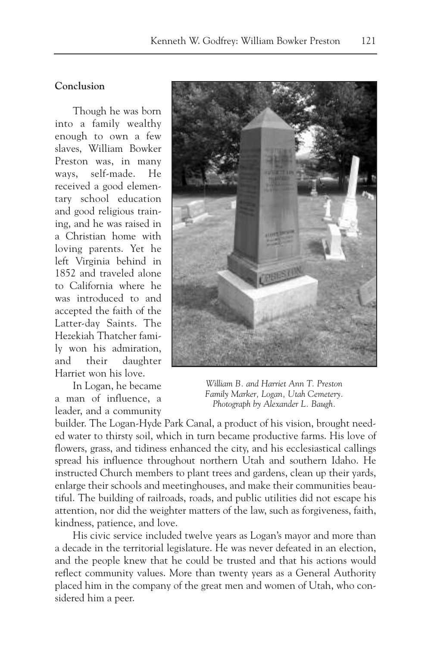# **Conclusion**

Though he was born into a family wealthy enough to own a few slaves, William Bowker Preston was, in many ways, self-made. He received a good elementary school education and good religious training, and he was raised in a Christian home with loving parents. Yet he left Virginia behind in 1852 and traveled alone to California where he was introduced to and accepted the faith of the Latter-day Saints. The Hezekiah Thatcher family won his admiration, and their daughter Harriet won his love.

In Logan, he became a man of influence, a leader, and a community



*William B. and Harriet Ann T. Preston Family Marker, Logan, Utah Cemetery. Photograph by Alexander L. Baugh.*

builder. The Logan-Hyde Park Canal, a product of his vision, brought needed water to thirsty soil, which in turn became productive farms. His love of flowers, grass, and tidiness enhanced the city, and his ecclesiastical callings spread his influence throughout northern Utah and southern Idaho. He instructed Church members to plant trees and gardens, clean up their yards, enlarge their schools and meetinghouses, and make their communities beautiful. The building of railroads, roads, and public utilities did not escape his attention, nor did the weighter matters of the law, such as forgiveness, faith, kindness, patience, and love.

His civic service included twelve years as Logan's mayor and more than a decade in the territorial legislature. He was never defeated in an election, and the people knew that he could be trusted and that his actions would reflect community values. More than twenty years as a General Authority placed him in the company of the great men and women of Utah, who considered him a peer.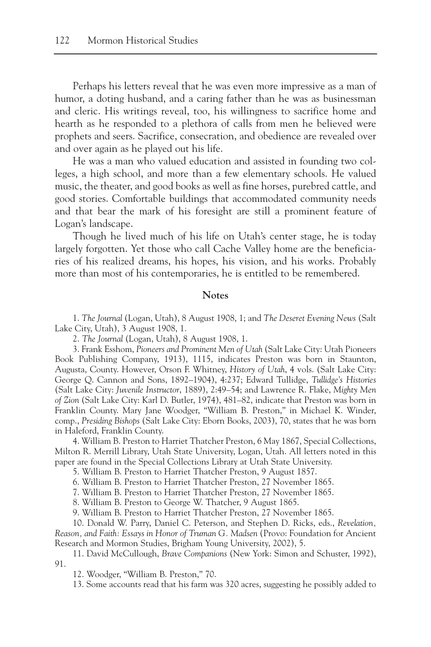Perhaps his letters reveal that he was even more impressive as a man of humor, a doting husband, and a caring father than he was as businessman and cleric. His writings reveal, too, his willingness to sacrifice home and hearth as he responded to a plethora of calls from men he believed were prophets and seers. Sacrifice, consecration, and obedience are revealed over and over again as he played out his life.

He was a man who valued education and assisted in founding two colleges, a high school, and more than a few elementary schools. He valued music, the theater, and good books as well as fine horses, purebred cattle, and good stories. Comfortable buildings that accommodated community needs and that bear the mark of his foresight are still a prominent feature of Logan's landscape.

Though he lived much of his life on Utah's center stage, he is today largely forgotten. Yet those who call Cache Valley home are the beneficiaries of his realized dreams, his hopes, his vision, and his works. Probably more than most of his contemporaries, he is entitled to be remembered.

# **Notes**

1. *The Journal* (Logan, Utah), 8 August 1908, 1; and *The Deseret Evening News* (Salt Lake City, Utah), 3 August 1908, 1.

2. *The Journal* (Logan, Utah), 8 August 1908, 1.

3. Frank Esshom, *Pioneers and Prominent Men of Utah* (Salt Lake City: Utah Pioneers Book Publishing Company, 1913), 1115, indicates Preston was born in Staunton, Augusta, County. However, Orson F. Whitney, *History of Utah*, 4 vols. (Salt Lake City: George Q. Cannon and Sons, 1892–1904), 4:237; Edward Tullidge, *Tullidge's Histories* (Salt Lake City: *Juvenile Instructor*, 1889), 2:49–54; and Lawrence R. Flake, *Mighty Men of Zion* (Salt Lake City: Karl D. Butler, 1974), 481–82, indicate that Preston was born in Franklin County. Mary Jane Woodger, "William B. Preston," in Michael K. Winder, comp., *Presiding Bishops* (Salt Lake City: Eborn Books, 2003), 70, states that he was born in Haleford, Franklin County.

4. William B. Preston to Harriet Thatcher Preston, 6 May 1867, Special Collections, Milton R. Merrill Library, Utah State University, Logan, Utah. All letters noted in this paper are found in the Special Collections Library at Utah State University.

5. William B. Preston to Harriet Thatcher Preston, 9 August 1857.

6. William B. Preston to Harriet Thatcher Preston, 27 November 1865.

7. William B. Preston to Harriet Thatcher Preston, 27 November 1865.

8. William B. Preston to George W. Thatcher, 9 August 1865.

9. William B. Preston to Harriet Thatcher Preston, 27 November 1865.

10. Donald W. Parry, Daniel C. Peterson, and Stephen D. Ricks, eds., *Revelation, Reason, and Faith: Essays in Honor of Truman G. Madsen* (Provo: Foundation for Ancient Research and Mormon Studies, Brigham Young University, 2002), 5.

11. David McCullough, *Brave Companions* (New York: Simon and Schuster, 1992), 91.

12. Woodger, "William B. Preston," 70.

13. Some accounts read that his farm was 320 acres, suggesting he possibly added to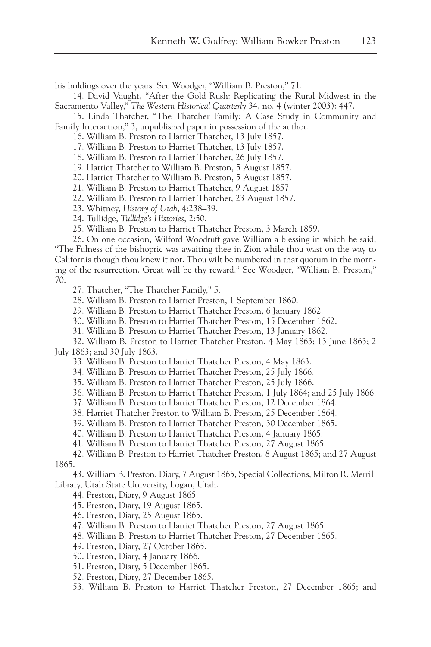his holdings over the years. See Woodger, "William B. Preston," 71.

14. David Vaught, "After the Gold Rush: Replicating the Rural Midwest in the Sacramento Valley," *The Western Historical Quarterly* 34, no. 4 (winter 2003): 447.

15. Linda Thatcher, "The Thatcher Family: A Case Study in Community and Family Interaction," 3, unpublished paper in possession of the author.

16. William B. Preston to Harriet Thatcher, 13 July 1857.

17. William B. Preston to Harriet Thatcher, 13 July 1857.

18. William B. Preston to Harriet Thatcher, 26 July 1857.

19. Harriet Thatcher to William B. Preston, 5 August 1857.

20. Harriet Thatcher to William B. Preston, 5 August 1857.

21. William B. Preston to Harriet Thatcher, 9 August 1857.

22. William B. Preston to Harriet Thatcher, 23 August 1857.

23. Whitney, *History of Utah*, 4:238–39.

24. Tullidge, *Tullidge's Histories*, 2:50.

25. William B. Preston to Harriet Thatcher Preston, 3 March 1859.

26. On one occasion, Wilford Woodruff gave William a blessing in which he said, "The Fulness of the bishopric was awaiting thee in Zion while thou wast on the way to California though thou knew it not. Thou wilt be numbered in that quorum in the morning of the resurrection. Great will be thy reward." See Woodger, "William B. Preston," 70.

27. Thatcher, "The Thatcher Family," 5.

28. William B. Preston to Harriet Preston, 1 September 1860.

29. William B. Preston to Harriet Thatcher Preston, 6 January 1862.

30. William B. Preston to Harriet Thatcher Preston, 15 December 1862.

31. William B. Preston to Harriet Thatcher Preston, 13 January 1862.

32. William B. Preston to Harriet Thatcher Preston, 4 May 1863; 13 June 1863; 2 July 1863; and 30 July 1863.

33. William B. Preston to Harriet Thatcher Preston, 4 May 1863.

34. William B. Preston to Harriet Thatcher Preston, 25 July 1866.

35. William B. Preston to Harriet Thatcher Preston, 25 July 1866.

36. William B. Preston to Harriet Thatcher Preston, 1 July 1864; and 25 July 1866.

37. William B. Preston to Harriet Thatcher Preston, 12 December 1864.

38. Harriet Thatcher Preston to William B. Preston, 25 December 1864.

39. William B. Preston to Harriet Thatcher Preston, 30 December 1865.

40. William B. Preston to Harriet Thatcher Preston, 4 January 1865.

41. William B. Preston to Harriet Thatcher Preston, 27 August 1865.

42. William B. Preston to Harriet Thatcher Preston, 8 August 1865; and 27 August 1865.

43. William B. Preston, Diary, 7 August 1865, Special Collections, Milton R. Merrill Library, Utah State University, Logan, Utah.

44. Preston, Diary, 9 August 1865.

45. Preston, Diary, 19 August 1865.

46. Preston, Diary, 25 August 1865.

47. William B. Preston to Harriet Thatcher Preston, 27 August 1865.

48. William B. Preston to Harriet Thatcher Preston, 27 December 1865.

49. Preston, Diary, 27 October 1865.

50. Preston, Diary, 4 January 1866.

51. Preston, Diary, 5 December 1865.

52. Preston, Diary, 27 December 1865.

53. William B. Preston to Harriet Thatcher Preston, 27 December 1865; and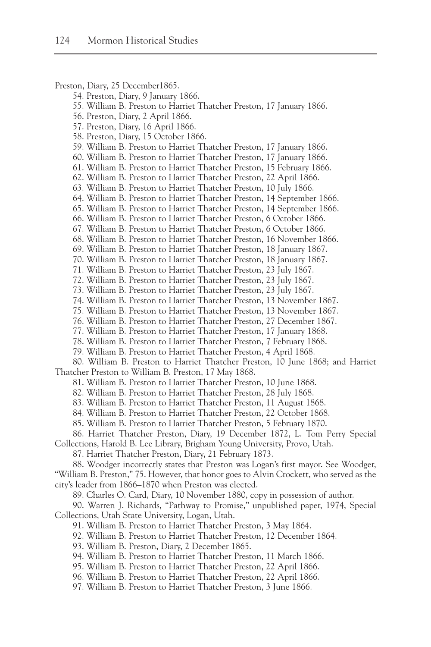Preston, Diary, 25 December1865. 54. Preston, Diary, 9 January 1866. 55. William B. Preston to Harriet Thatcher Preston, 17 January 1866. 56. Preston, Diary, 2 April 1866. 57. Preston, Diary, 16 April 1866. 58. Preston, Diary, 15 October 1866. 59. William B. Preston to Harriet Thatcher Preston, 17 January 1866. 60. William B. Preston to Harriet Thatcher Preston, 17 January 1866. 61. William B. Preston to Harriet Thatcher Preston, 15 February 1866. 62. William B. Preston to Harriet Thatcher Preston, 22 April 1866. 63. William B. Preston to Harriet Thatcher Preston, 10 July 1866. 64. William B. Preston to Harriet Thatcher Preston, 14 September 1866. 65. William B. Preston to Harriet Thatcher Preston, 14 September 1866. 66. William B. Preston to Harriet Thatcher Preston, 6 October 1866. 67. William B. Preston to Harriet Thatcher Preston, 6 October 1866. 68. William B. Preston to Harriet Thatcher Preston, 16 November 1866. 69. William B. Preston to Harriet Thatcher Preston, 18 January 1867. 70. William B. Preston to Harriet Thatcher Preston, 18 January 1867. 71. William B. Preston to Harriet Thatcher Preston, 23 July 1867. 72. William B. Preston to Harriet Thatcher Preston, 23 July 1867. 73. William B. Preston to Harriet Thatcher Preston, 23 July 1867. 74. William B. Preston to Harriet Thatcher Preston, 13 November 1867. 75. William B. Preston to Harriet Thatcher Preston, 13 November 1867. 76. William B. Preston to Harriet Thatcher Preston, 27 December 1867. 77. William B. Preston to Harriet Thatcher Preston, 17 January 1868. 78. William B. Preston to Harriet Thatcher Preston, 7 February 1868. 79. William B. Preston to Harriet Thatcher Preston, 4 April 1868. 80. William B. Preston to Harriet Thatcher Preston, 10 June 1868; and Harriet Thatcher Preston to William B. Preston, 17 May 1868. 81. William B. Preston to Harriet Thatcher Preston, 10 June 1868. 82. William B. Preston to Harriet Thatcher Preston, 28 July 1868. 83. William B. Preston to Harriet Thatcher Preston, 11 August 1868. 84. William B. Preston to Harriet Thatcher Preston, 22 October 1868. 85. William B. Preston to Harriet Thatcher Preston, 5 February 1870. 86. Harriet Thatcher Preston, Diary, 19 December 1872, L. Tom Perry Special Collections, Harold B. Lee Library, Brigham Young University, Provo, Utah. 87. Harriet Thatcher Preston, Diary, 21 February 1873. 88. Woodger incorrectly states that Preston was Logan's first mayor. See Woodger, "William B. Preston," 75. However, that honor goes to Alvin Crockett, who served as the city's leader from 1866–1870 when Preston was elected. 89. Charles O. Card, Diary, 10 November 1880, copy in possession of author. 90. Warren J. Richards, "Pathway to Promise," unpublished paper, 1974, Special Collections, Utah State University, Logan, Utah. 91. William B. Preston to Harriet Thatcher Preston, 3 May 1864. 92. William B. Preston to Harriet Thatcher Preston, 12 December 1864. 93. William B. Preston, Diary, 2 December 1865. 94. William B. Preston to Harriet Thatcher Preston, 11 March 1866. 95. William B. Preston to Harriet Thatcher Preston, 22 April 1866. 96. William B. Preston to Harriet Thatcher Preston, 22 April 1866. 97. William B. Preston to Harriet Thatcher Preston, 3 June 1866.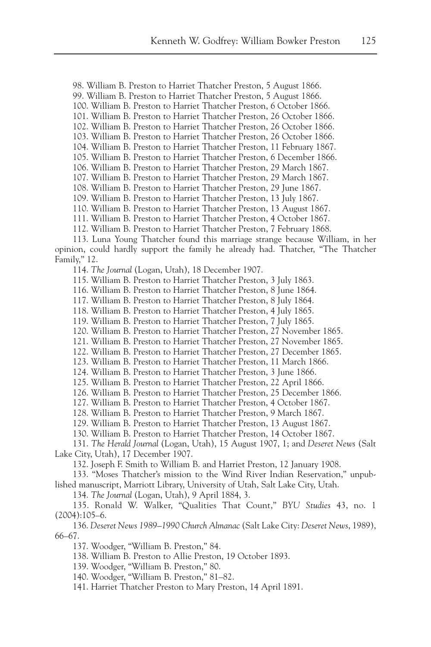98. William B. Preston to Harriet Thatcher Preston, 5 August 1866.

99. William B. Preston to Harriet Thatcher Preston, 5 August 1866.

100. William B. Preston to Harriet Thatcher Preston, 6 October 1866.

101. William B. Preston to Harriet Thatcher Preston, 26 October 1866.

102. William B. Preston to Harriet Thatcher Preston, 26 October 1866.

103. William B. Preston to Harriet Thatcher Preston, 26 October 1866.

104. William B. Preston to Harriet Thatcher Preston, 11 February 1867. 105. William B. Preston to Harriet Thatcher Preston, 6 December 1866.

106. William B. Preston to Harriet Thatcher Preston, 29 March 1867.

107. William B. Preston to Harriet Thatcher Preston, 29 March 1867.

108. William B. Preston to Harriet Thatcher Preston, 29 June 1867.

109. William B. Preston to Harriet Thatcher Preston, 13 July 1867.

110. William B. Preston to Harriet Thatcher Preston, 13 August 1867.

111. William B. Preston to Harriet Thatcher Preston, 4 October 1867.

112. William B. Preston to Harriet Thatcher Preston, 7 February 1868.

113. Luna Young Thatcher found this marriage strange because William, in her opinion, could hardly support the family he already had. Thatcher, "The Thatcher Family," 12.

114. *The Journal* (Logan, Utah), 18 December 1907.

115. William B. Preston to Harriet Thatcher Preston, 3 July 1863.

116. William B. Preston to Harriet Thatcher Preston, 8 June 1864.

117. William B. Preston to Harriet Thatcher Preston, 8 July 1864.

118. William B. Preston to Harriet Thatcher Preston, 4 July 1865.

119. William B. Preston to Harriet Thatcher Preston, 7 July 1865.

120. William B. Preston to Harriet Thatcher Preston, 27 November 1865.

121. William B. Preston to Harriet Thatcher Preston, 27 November 1865.

122. William B. Preston to Harriet Thatcher Preston, 27 December 1865.

123. William B. Preston to Harriet Thatcher Preston, 11 March 1866.

124. William B. Preston to Harriet Thatcher Preston, 3 June 1866.

125. William B. Preston to Harriet Thatcher Preston, 22 April 1866.

126. William B. Preston to Harriet Thatcher Preston, 25 December 1866.

127. William B. Preston to Harriet Thatcher Preston, 4 October 1867.

128. William B. Preston to Harriet Thatcher Preston, 9 March 1867.

129. William B. Preston to Harriet Thatcher Preston, 13 August 1867.

130. William B. Preston to Harriet Thatcher Preston, 14 October 1867.

131. *The Herald Journal* (Logan, Utah), 15 August 1907, 1; and *Deseret News* (Salt Lake City, Utah), 17 December 1907.

132. Joseph F. Smith to William B. and Harriet Preston, 12 January 1908.

133. "Moses Thatcher's mission to the Wind River Indian Reservation," unpublished manuscript, Marriott Library, University of Utah, Salt Lake City, Utah.

134. *The Journal* (Logan, Utah), 9 April 1884, 3.

135. Ronald W. Walker, "Qualities That Count," *BYU Studies* 43, no. 1 (2004):105–6.

136. *Deseret News 1989–1990 Church Almanac* (Salt Lake City: *Deseret News*, 1989), 66–67.

137. Woodger, "William B. Preston," 84.

138. William B. Preston to Allie Preston, 19 October 1893.

139. Woodger, "William B. Preston," 80.

140. Woodger, "William B. Preston," 81–82.

141. Harriet Thatcher Preston to Mary Preston, 14 April 1891.